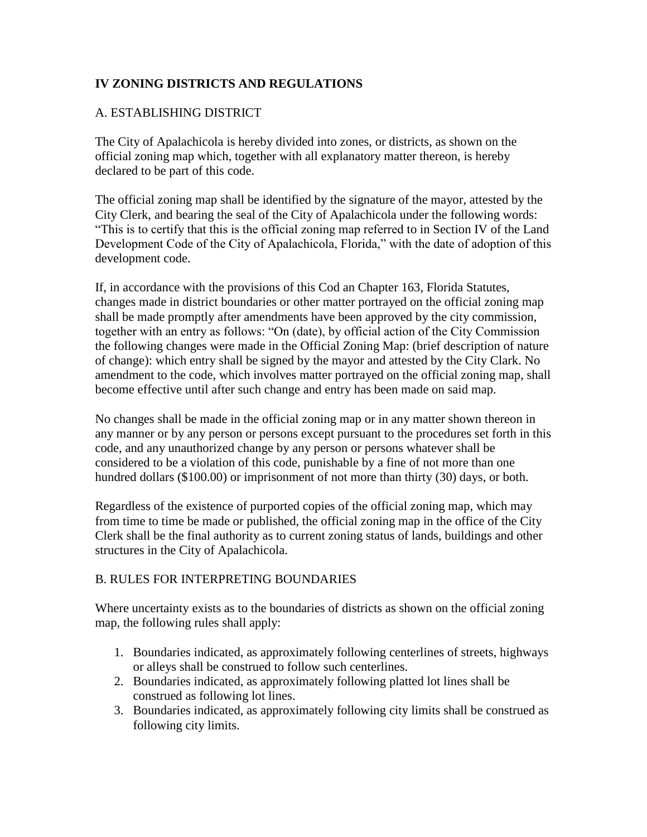# **IV ZONING DISTRICTS AND REGULATIONS**

# A. ESTABLISHING DISTRICT

The City of Apalachicola is hereby divided into zones, or districts, as shown on the official zoning map which, together with all explanatory matter thereon, is hereby declared to be part of this code.

The official zoning map shall be identified by the signature of the mayor, attested by the City Clerk, and bearing the seal of the City of Apalachicola under the following words: "This is to certify that this is the official zoning map referred to in Section IV of the Land Development Code of the City of Apalachicola, Florida," with the date of adoption of this development code.

If, in accordance with the provisions of this Cod an Chapter 163, Florida Statutes, changes made in district boundaries or other matter portrayed on the official zoning map shall be made promptly after amendments have been approved by the city commission, together with an entry as follows: "On (date), by official action of the City Commission the following changes were made in the Official Zoning Map: (brief description of nature of change): which entry shall be signed by the mayor and attested by the City Clark. No amendment to the code, which involves matter portrayed on the official zoning map, shall become effective until after such change and entry has been made on said map.

No changes shall be made in the official zoning map or in any matter shown thereon in any manner or by any person or persons except pursuant to the procedures set forth in this code, and any unauthorized change by any person or persons whatever shall be considered to be a violation of this code, punishable by a fine of not more than one hundred dollars (\$100.00) or imprisonment of not more than thirty (30) days, or both.

Regardless of the existence of purported copies of the official zoning map, which may from time to time be made or published, the official zoning map in the office of the City Clerk shall be the final authority as to current zoning status of lands, buildings and other structures in the City of Apalachicola.

# B. RULES FOR INTERPRETING BOUNDARIES

Where uncertainty exists as to the boundaries of districts as shown on the official zoning map, the following rules shall apply:

- 1. Boundaries indicated, as approximately following centerlines of streets, highways or alleys shall be construed to follow such centerlines.
- 2. Boundaries indicated, as approximately following platted lot lines shall be construed as following lot lines.
- 3. Boundaries indicated, as approximately following city limits shall be construed as following city limits.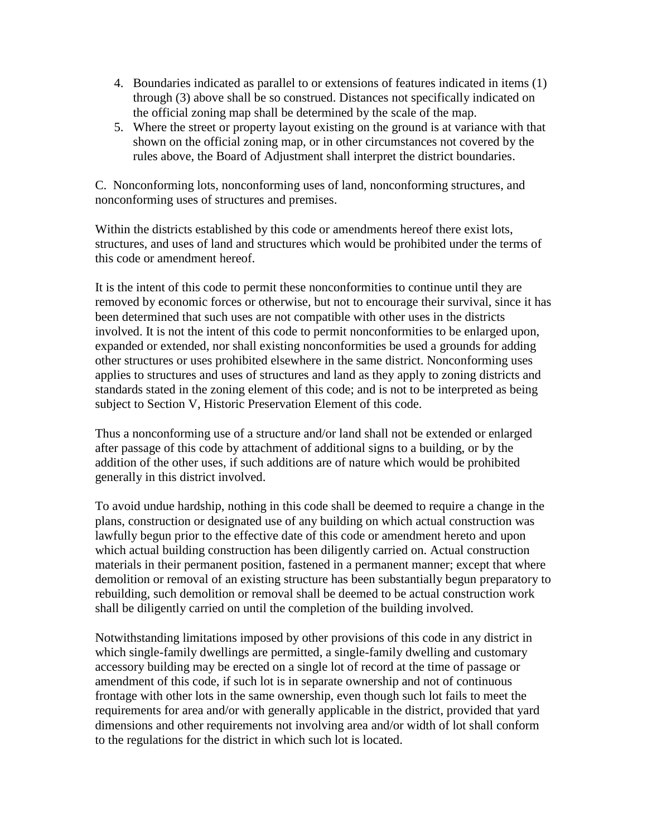- 4. Boundaries indicated as parallel to or extensions of features indicated in items (1) through (3) above shall be so construed. Distances not specifically indicated on the official zoning map shall be determined by the scale of the map.
- 5. Where the street or property layout existing on the ground is at variance with that shown on the official zoning map, or in other circumstances not covered by the rules above, the Board of Adjustment shall interpret the district boundaries.

C. Nonconforming lots, nonconforming uses of land, nonconforming structures, and nonconforming uses of structures and premises.

Within the districts established by this code or amendments hereof there exist lots, structures, and uses of land and structures which would be prohibited under the terms of this code or amendment hereof.

It is the intent of this code to permit these nonconformities to continue until they are removed by economic forces or otherwise, but not to encourage their survival, since it has been determined that such uses are not compatible with other uses in the districts involved. It is not the intent of this code to permit nonconformities to be enlarged upon, expanded or extended, nor shall existing nonconformities be used a grounds for adding other structures or uses prohibited elsewhere in the same district. Nonconforming uses applies to structures and uses of structures and land as they apply to zoning districts and standards stated in the zoning element of this code; and is not to be interpreted as being subject to Section V, Historic Preservation Element of this code.

Thus a nonconforming use of a structure and/or land shall not be extended or enlarged after passage of this code by attachment of additional signs to a building, or by the addition of the other uses, if such additions are of nature which would be prohibited generally in this district involved.

To avoid undue hardship, nothing in this code shall be deemed to require a change in the plans, construction or designated use of any building on which actual construction was lawfully begun prior to the effective date of this code or amendment hereto and upon which actual building construction has been diligently carried on. Actual construction materials in their permanent position, fastened in a permanent manner; except that where demolition or removal of an existing structure has been substantially begun preparatory to rebuilding, such demolition or removal shall be deemed to be actual construction work shall be diligently carried on until the completion of the building involved.

Notwithstanding limitations imposed by other provisions of this code in any district in which single-family dwellings are permitted, a single-family dwelling and customary accessory building may be erected on a single lot of record at the time of passage or amendment of this code, if such lot is in separate ownership and not of continuous frontage with other lots in the same ownership, even though such lot fails to meet the requirements for area and/or with generally applicable in the district, provided that yard dimensions and other requirements not involving area and/or width of lot shall conform to the regulations for the district in which such lot is located.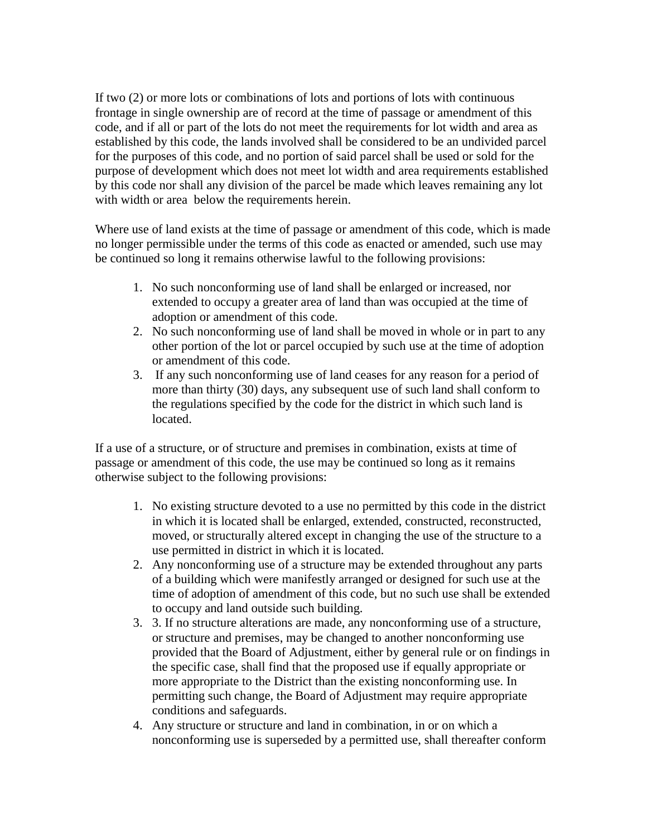If two (2) or more lots or combinations of lots and portions of lots with continuous frontage in single ownership are of record at the time of passage or amendment of this code, and if all or part of the lots do not meet the requirements for lot width and area as established by this code, the lands involved shall be considered to be an undivided parcel for the purposes of this code, and no portion of said parcel shall be used or sold for the purpose of development which does not meet lot width and area requirements established by this code nor shall any division of the parcel be made which leaves remaining any lot with width or area below the requirements herein.

Where use of land exists at the time of passage or amendment of this code, which is made no longer permissible under the terms of this code as enacted or amended, such use may be continued so long it remains otherwise lawful to the following provisions:

- 1. No such nonconforming use of land shall be enlarged or increased, nor extended to occupy a greater area of land than was occupied at the time of adoption or amendment of this code.
- 2. No such nonconforming use of land shall be moved in whole or in part to any other portion of the lot or parcel occupied by such use at the time of adoption or amendment of this code.
- 3. If any such nonconforming use of land ceases for any reason for a period of more than thirty (30) days, any subsequent use of such land shall conform to the regulations specified by the code for the district in which such land is located.

If a use of a structure, or of structure and premises in combination, exists at time of passage or amendment of this code, the use may be continued so long as it remains otherwise subject to the following provisions:

- 1. No existing structure devoted to a use no permitted by this code in the district in which it is located shall be enlarged, extended, constructed, reconstructed, moved, or structurally altered except in changing the use of the structure to a use permitted in district in which it is located.
- 2. Any nonconforming use of a structure may be extended throughout any parts of a building which were manifestly arranged or designed for such use at the time of adoption of amendment of this code, but no such use shall be extended to occupy and land outside such building.
- 3. 3. If no structure alterations are made, any nonconforming use of a structure, or structure and premises, may be changed to another nonconforming use provided that the Board of Adjustment, either by general rule or on findings in the specific case, shall find that the proposed use if equally appropriate or more appropriate to the District than the existing nonconforming use. In permitting such change, the Board of Adjustment may require appropriate conditions and safeguards.
- 4. Any structure or structure and land in combination, in or on which a nonconforming use is superseded by a permitted use, shall thereafter conform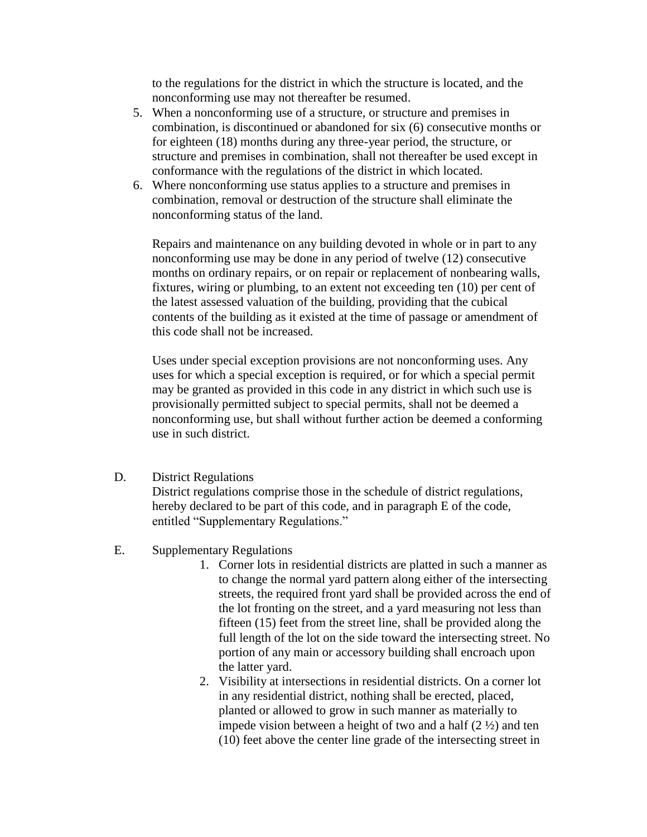to the regulations for the district in which the structure is located, and the nonconforming use may not thereafter be resumed.

- 5. When a nonconforming use of a structure, or structure and premises in combination, is discontinued or abandoned for six (6) consecutive months or for eighteen (18) months during any three-year period, the structure, or structure and premises in combination, shall not thereafter be used except in conformance with the regulations of the district in which located.
- 6. Where nonconforming use status applies to a structure and premises in combination, removal or destruction of the structure shall eliminate the nonconforming status of the land.

Repairs and maintenance on any building devoted in whole or in part to any nonconforming use may be done in any period of twelve (12) consecutive months on ordinary repairs, or on repair or replacement of nonbearing walls, fixtures, wiring or plumbing, to an extent not exceeding ten (10) per cent of the latest assessed valuation of the building, providing that the cubical contents of the building as it existed at the time of passage or amendment of this code shall not be increased.

Uses under special exception provisions are not nonconforming uses. Any uses for which a special exception is required, or for which a special permit may be granted as provided in this code in any district in which such use is provisionally permitted subject to special permits, shall not be deemed a nonconforming use, but shall without further action be deemed a conforming use in such district.

D. District Regulations

District regulations comprise those in the schedule of district regulations, hereby declared to be part of this code, and in paragraph E of the code, entitled "Supplementary Regulations."

- E. Supplementary Regulations
	- 1. Corner lots in residential districts are platted in such a manner as to change the normal yard pattern along either of the intersecting streets, the required front yard shall be provided across the end of the lot fronting on the street, and a yard measuring not less than fifteen (15) feet from the street line, shall be provided along the full length of the lot on the side toward the intersecting street. No portion of any main or accessory building shall encroach upon the latter yard.
	- 2. Visibility at intersections in residential districts. On a corner lot in any residential district, nothing shall be erected, placed, planted or allowed to grow in such manner as materially to impede vision between a height of two and a half  $(2 \frac{1}{2})$  and ten (10) feet above the center line grade of the intersecting street in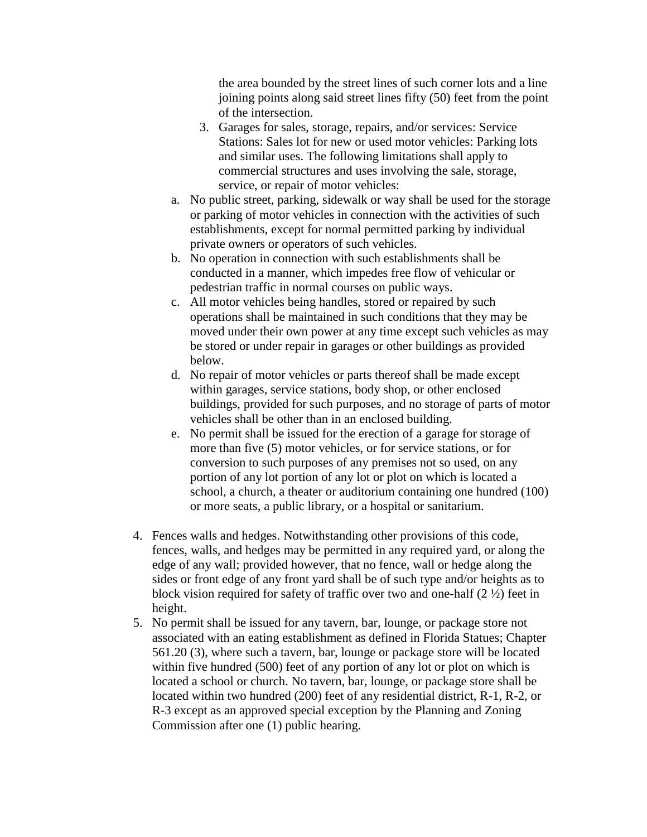the area bounded by the street lines of such corner lots and a line joining points along said street lines fifty (50) feet from the point of the intersection.

- 3. Garages for sales, storage, repairs, and/or services: Service Stations: Sales lot for new or used motor vehicles: Parking lots and similar uses. The following limitations shall apply to commercial structures and uses involving the sale, storage, service, or repair of motor vehicles:
- a. No public street, parking, sidewalk or way shall be used for the storage or parking of motor vehicles in connection with the activities of such establishments, except for normal permitted parking by individual private owners or operators of such vehicles.
- b. No operation in connection with such establishments shall be conducted in a manner, which impedes free flow of vehicular or pedestrian traffic in normal courses on public ways.
- c. All motor vehicles being handles, stored or repaired by such operations shall be maintained in such conditions that they may be moved under their own power at any time except such vehicles as may be stored or under repair in garages or other buildings as provided below.
- d. No repair of motor vehicles or parts thereof shall be made except within garages, service stations, body shop, or other enclosed buildings, provided for such purposes, and no storage of parts of motor vehicles shall be other than in an enclosed building.
- e. No permit shall be issued for the erection of a garage for storage of more than five (5) motor vehicles, or for service stations, or for conversion to such purposes of any premises not so used, on any portion of any lot portion of any lot or plot on which is located a school, a church, a theater or auditorium containing one hundred (100) or more seats, a public library, or a hospital or sanitarium.
- 4. Fences walls and hedges. Notwithstanding other provisions of this code, fences, walls, and hedges may be permitted in any required yard, or along the edge of any wall; provided however, that no fence, wall or hedge along the sides or front edge of any front yard shall be of such type and/or heights as to block vision required for safety of traffic over two and one-half (2 ½) feet in height.
- 5. No permit shall be issued for any tavern, bar, lounge, or package store not associated with an eating establishment as defined in Florida Statues; Chapter 561.20 (3), where such a tavern, bar, lounge or package store will be located within five hundred (500) feet of any portion of any lot or plot on which is located a school or church. No tavern, bar, lounge, or package store shall be located within two hundred (200) feet of any residential district, R-1, R-2, or R-3 except as an approved special exception by the Planning and Zoning Commission after one (1) public hearing.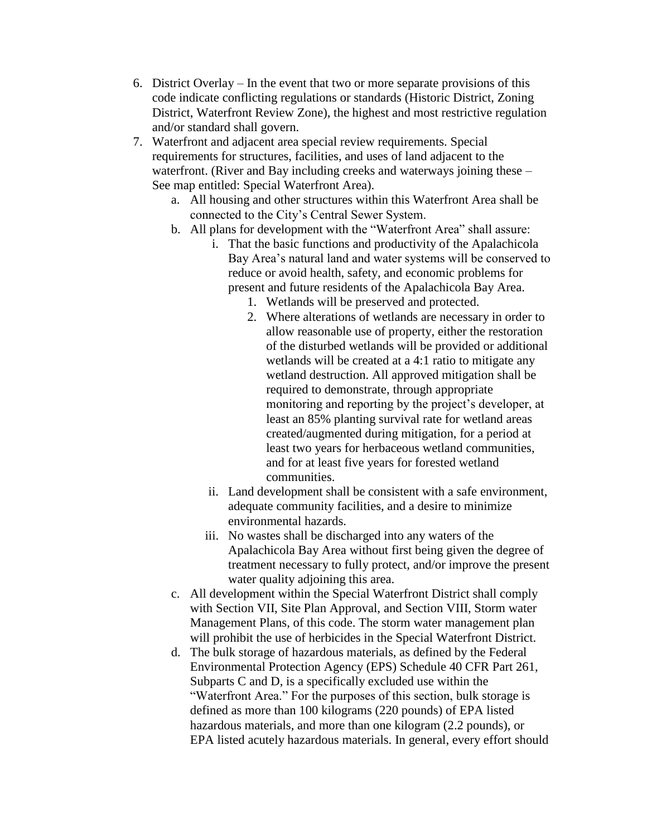- 6. District Overlay In the event that two or more separate provisions of this code indicate conflicting regulations or standards (Historic District, Zoning District, Waterfront Review Zone), the highest and most restrictive regulation and/or standard shall govern.
- 7. Waterfront and adjacent area special review requirements. Special requirements for structures, facilities, and uses of land adjacent to the waterfront. (River and Bay including creeks and waterways joining these – See map entitled: Special Waterfront Area).
	- a. All housing and other structures within this Waterfront Area shall be connected to the City's Central Sewer System.
	- b. All plans for development with the "Waterfront Area" shall assure:
		- i. That the basic functions and productivity of the Apalachicola Bay Area's natural land and water systems will be conserved to reduce or avoid health, safety, and economic problems for present and future residents of the Apalachicola Bay Area.
			- 1. Wetlands will be preserved and protected.
			- 2. Where alterations of wetlands are necessary in order to allow reasonable use of property, either the restoration of the disturbed wetlands will be provided or additional wetlands will be created at a 4:1 ratio to mitigate any wetland destruction. All approved mitigation shall be required to demonstrate, through appropriate monitoring and reporting by the project's developer, at least an 85% planting survival rate for wetland areas created/augmented during mitigation, for a period at least two years for herbaceous wetland communities, and for at least five years for forested wetland communities.
		- ii. Land development shall be consistent with a safe environment, adequate community facilities, and a desire to minimize environmental hazards.
		- iii. No wastes shall be discharged into any waters of the Apalachicola Bay Area without first being given the degree of treatment necessary to fully protect, and/or improve the present water quality adjoining this area.
	- c. All development within the Special Waterfront District shall comply with Section VII, Site Plan Approval, and Section VIII, Storm water Management Plans, of this code. The storm water management plan will prohibit the use of herbicides in the Special Waterfront District.
	- d. The bulk storage of hazardous materials, as defined by the Federal Environmental Protection Agency (EPS) Schedule 40 CFR Part 261, Subparts C and D, is a specifically excluded use within the "Waterfront Area." For the purposes of this section, bulk storage is defined as more than 100 kilograms (220 pounds) of EPA listed hazardous materials, and more than one kilogram (2.2 pounds), or EPA listed acutely hazardous materials. In general, every effort should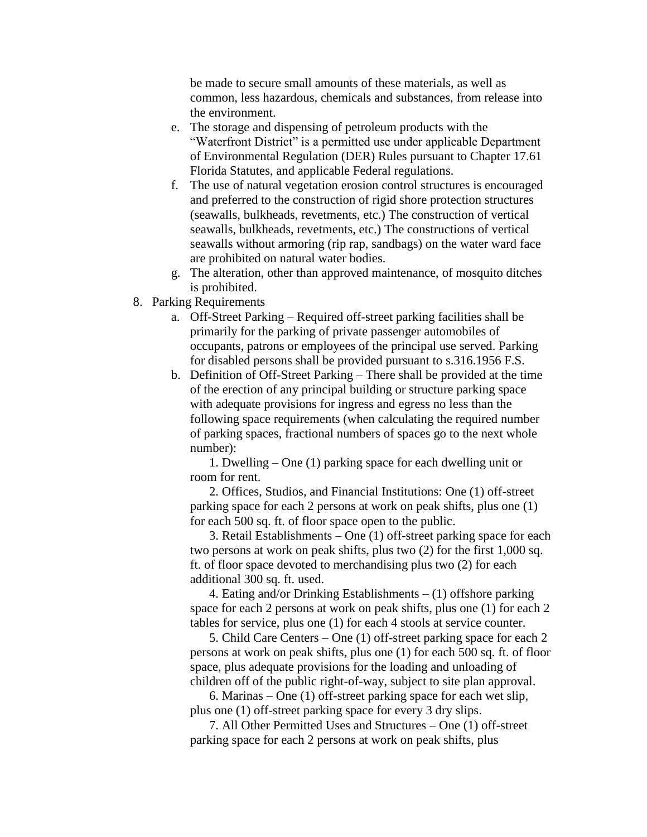be made to secure small amounts of these materials, as well as common, less hazardous, chemicals and substances, from release into the environment.

- e. The storage and dispensing of petroleum products with the "Waterfront District" is a permitted use under applicable Department of Environmental Regulation (DER) Rules pursuant to Chapter 17.61 Florida Statutes, and applicable Federal regulations.
- f. The use of natural vegetation erosion control structures is encouraged and preferred to the construction of rigid shore protection structures (seawalls, bulkheads, revetments, etc.) The construction of vertical seawalls, bulkheads, revetments, etc.) The constructions of vertical seawalls without armoring (rip rap, sandbags) on the water ward face are prohibited on natural water bodies.
- g. The alteration, other than approved maintenance, of mosquito ditches is prohibited.
- 8. Parking Requirements
	- a. Off-Street Parking Required off-street parking facilities shall be primarily for the parking of private passenger automobiles of occupants, patrons or employees of the principal use served. Parking for disabled persons shall be provided pursuant to s.316.1956 F.S.
	- b. Definition of Off-Street Parking There shall be provided at the time of the erection of any principal building or structure parking space with adequate provisions for ingress and egress no less than the following space requirements (when calculating the required number of parking spaces, fractional numbers of spaces go to the next whole number):

1. Dwelling – One (1) parking space for each dwelling unit or room for rent.

2. Offices, Studios, and Financial Institutions: One (1) off-street parking space for each 2 persons at work on peak shifts, plus one (1) for each 500 sq. ft. of floor space open to the public.

3. Retail Establishments – One (1) off-street parking space for each two persons at work on peak shifts, plus two (2) for the first 1,000 sq. ft. of floor space devoted to merchandising plus two (2) for each additional 300 sq. ft. used.

4. Eating and/or Drinking Establishments – (1) offshore parking space for each 2 persons at work on peak shifts, plus one (1) for each 2 tables for service, plus one (1) for each 4 stools at service counter.

5. Child Care Centers – One (1) off-street parking space for each 2 persons at work on peak shifts, plus one (1) for each 500 sq. ft. of floor space, plus adequate provisions for the loading and unloading of children off of the public right-of-way, subject to site plan approval.

6. Marinas – One (1) off-street parking space for each wet slip, plus one (1) off-street parking space for every 3 dry slips.

7. All Other Permitted Uses and Structures – One (1) off-street parking space for each 2 persons at work on peak shifts, plus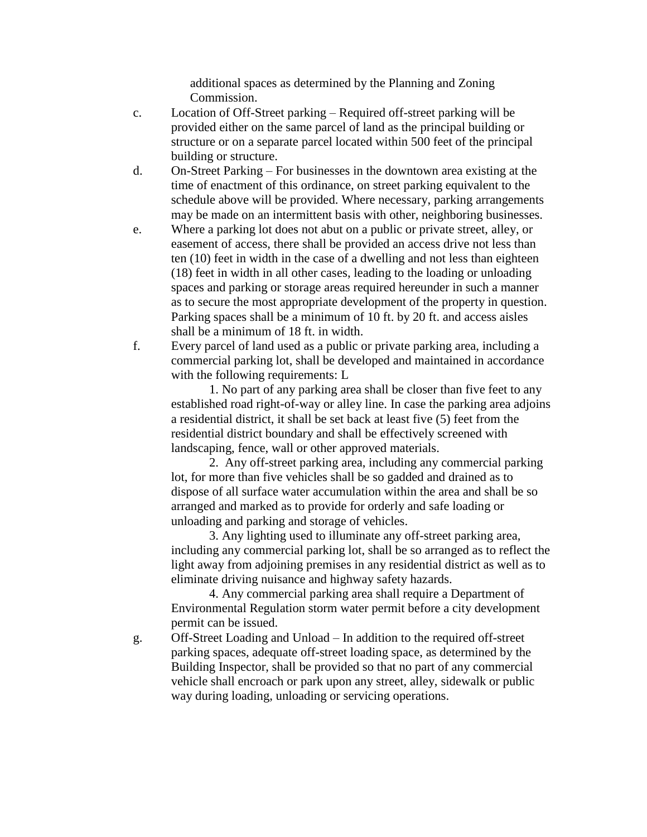additional spaces as determined by the Planning and Zoning Commission.

- c. Location of Off-Street parking Required off-street parking will be provided either on the same parcel of land as the principal building or structure or on a separate parcel located within 500 feet of the principal building or structure.
- d. On-Street Parking For businesses in the downtown area existing at the time of enactment of this ordinance, on street parking equivalent to the schedule above will be provided. Where necessary, parking arrangements may be made on an intermittent basis with other, neighboring businesses.
- e. Where a parking lot does not abut on a public or private street, alley, or easement of access, there shall be provided an access drive not less than ten (10) feet in width in the case of a dwelling and not less than eighteen (18) feet in width in all other cases, leading to the loading or unloading spaces and parking or storage areas required hereunder in such a manner as to secure the most appropriate development of the property in question. Parking spaces shall be a minimum of 10 ft. by 20 ft. and access aisles shall be a minimum of 18 ft. in width.
- f. Every parcel of land used as a public or private parking area, including a commercial parking lot, shall be developed and maintained in accordance with the following requirements: L

1. No part of any parking area shall be closer than five feet to any established road right-of-way or alley line. In case the parking area adjoins a residential district, it shall be set back at least five (5) feet from the residential district boundary and shall be effectively screened with landscaping, fence, wall or other approved materials.

2. Any off-street parking area, including any commercial parking lot, for more than five vehicles shall be so gadded and drained as to dispose of all surface water accumulation within the area and shall be so arranged and marked as to provide for orderly and safe loading or unloading and parking and storage of vehicles.

3. Any lighting used to illuminate any off-street parking area, including any commercial parking lot, shall be so arranged as to reflect the light away from adjoining premises in any residential district as well as to eliminate driving nuisance and highway safety hazards.

4. Any commercial parking area shall require a Department of Environmental Regulation storm water permit before a city development permit can be issued.

g. Off-Street Loading and Unload – In addition to the required off-street parking spaces, adequate off-street loading space, as determined by the Building Inspector, shall be provided so that no part of any commercial vehicle shall encroach or park upon any street, alley, sidewalk or public way during loading, unloading or servicing operations.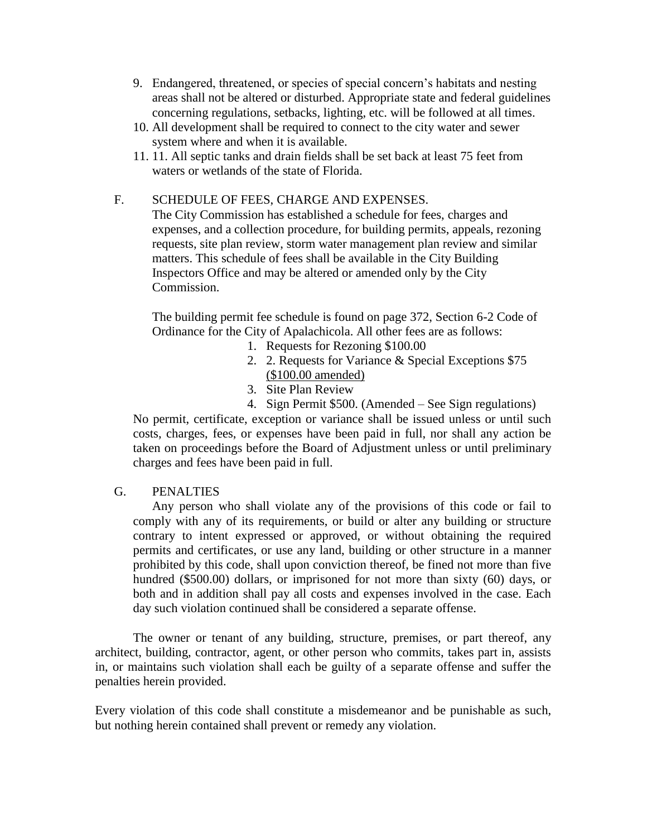- 9. Endangered, threatened, or species of special concern's habitats and nesting areas shall not be altered or disturbed. Appropriate state and federal guidelines concerning regulations, setbacks, lighting, etc. will be followed at all times.
- 10. All development shall be required to connect to the city water and sewer system where and when it is available.
- 11. 11. All septic tanks and drain fields shall be set back at least 75 feet from waters or wetlands of the state of Florida.

# F. SCHEDULE OF FEES, CHARGE AND EXPENSES.

The City Commission has established a schedule for fees, charges and expenses, and a collection procedure, for building permits, appeals, rezoning requests, site plan review, storm water management plan review and similar matters. This schedule of fees shall be available in the City Building Inspectors Office and may be altered or amended only by the City Commission.

The building permit fee schedule is found on page 372, Section 6-2 Code of Ordinance for the City of Apalachicola. All other fees are as follows:

- 1. Requests for Rezoning \$100.00
- 2. 2. Requests for Variance & Special Exceptions \$75 (\$100.00 amended)
- 3. Site Plan Review
- 4. Sign Permit \$500. (Amended See Sign regulations)

No permit, certificate, exception or variance shall be issued unless or until such costs, charges, fees, or expenses have been paid in full, nor shall any action be taken on proceedings before the Board of Adjustment unless or until preliminary charges and fees have been paid in full.

# G. PENALTIES

Any person who shall violate any of the provisions of this code or fail to comply with any of its requirements, or build or alter any building or structure contrary to intent expressed or approved, or without obtaining the required permits and certificates, or use any land, building or other structure in a manner prohibited by this code, shall upon conviction thereof, be fined not more than five hundred (\$500.00) dollars, or imprisoned for not more than sixty (60) days, or both and in addition shall pay all costs and expenses involved in the case. Each day such violation continued shall be considered a separate offense.

The owner or tenant of any building, structure, premises, or part thereof, any architect, building, contractor, agent, or other person who commits, takes part in, assists in, or maintains such violation shall each be guilty of a separate offense and suffer the penalties herein provided.

Every violation of this code shall constitute a misdemeanor and be punishable as such, but nothing herein contained shall prevent or remedy any violation.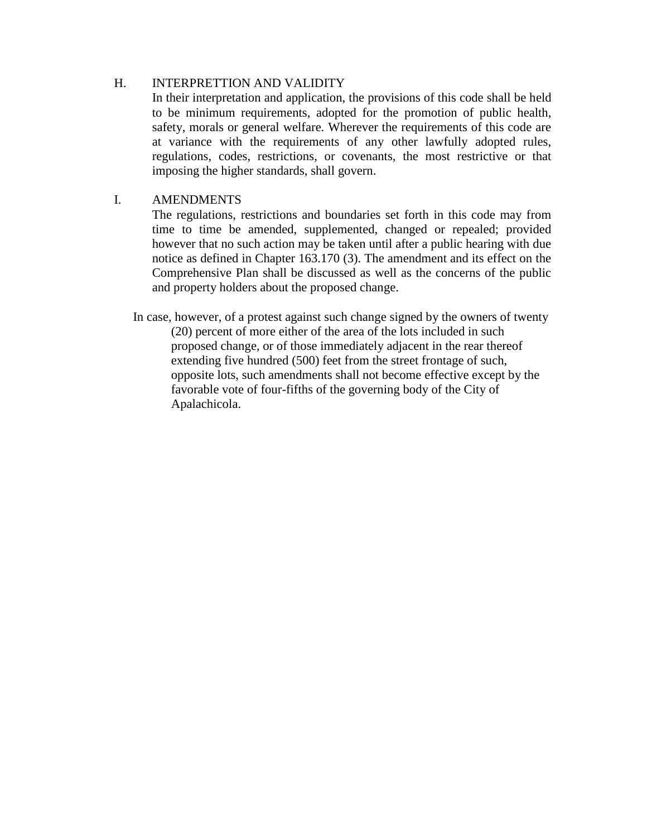# H. INTERPRETTION AND VALIDITY

In their interpretation and application, the provisions of this code shall be held to be minimum requirements, adopted for the promotion of public health, safety, morals or general welfare. Wherever the requirements of this code are at variance with the requirements of any other lawfully adopted rules, regulations, codes, restrictions, or covenants, the most restrictive or that imposing the higher standards, shall govern.

# I. AMENDMENTS

The regulations, restrictions and boundaries set forth in this code may from time to time be amended, supplemented, changed or repealed; provided however that no such action may be taken until after a public hearing with due notice as defined in Chapter 163.170 (3). The amendment and its effect on the Comprehensive Plan shall be discussed as well as the concerns of the public and property holders about the proposed change.

In case, however, of a protest against such change signed by the owners of twenty (20) percent of more either of the area of the lots included in such proposed change, or of those immediately adjacent in the rear thereof extending five hundred (500) feet from the street frontage of such, opposite lots, such amendments shall not become effective except by the favorable vote of four-fifths of the governing body of the City of Apalachicola.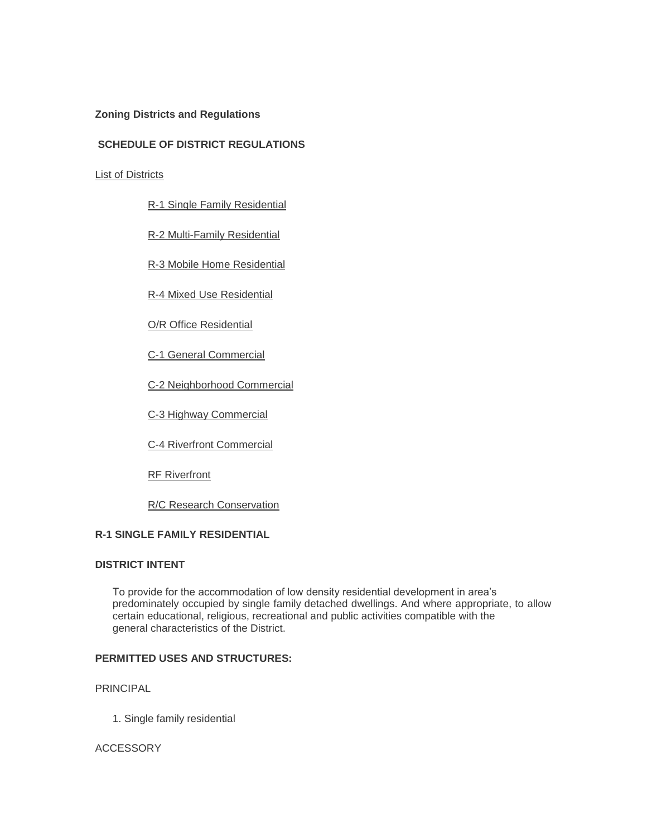## **Zoning Districts and Regulations**

## **SCHEDULE OF DISTRICT REGULATIONS**

List of Districts

R-1 Single Family Residential

R-2 Multi-Family Residential

R-3 Mobile Home Residential

R-4 Mixed Use Residential

O/R Office Residential

C-1 General Commercial

C-2 Neighborhood Commercial

C-3 Highway Commercial

C-4 Riverfront Commercial

**RF Riverfront** 

R/C Research Conservation

## **R-1 SINGLE FAMILY RESIDENTIAL**

### **DISTRICT INTENT**

 To provide for the accommodation of low density residential development in area's predominately occupied by single family detached dwellings. And where appropriate, to allow certain educational, religious, recreational and public activities compatible with the general characteristics of the District.

# **PERMITTED USES AND STRUCTURES:**

PRINCIPAL

1. Single family residential

#### **ACCESSORY**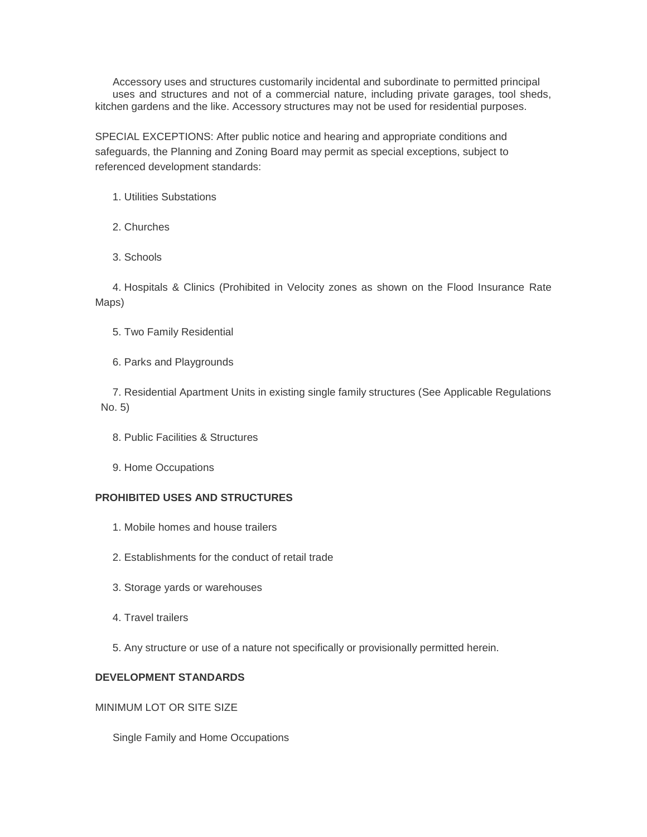Accessory uses and structures customarily incidental and subordinate to permitted principal uses and structures and not of a commercial nature, including private garages, tool sheds, kitchen gardens and the like. Accessory structures may not be used for residential purposes.

SPECIAL EXCEPTIONS: After public notice and hearing and appropriate conditions and safeguards, the Planning and Zoning Board may permit as special exceptions, subject to referenced development standards:

- 1. Utilities Substations
- 2. Churches
- 3. Schools

 4. Hospitals & Clinics (Prohibited in Velocity zones as shown on the Flood Insurance Rate Maps)

- 5. Two Family Residential
- 6. Parks and Playgrounds

 7. Residential Apartment Units in existing single family structures (See Applicable Regulations No. 5)

- 8. Public Facilities & Structures
- 9. Home Occupations

#### **PROHIBITED USES AND STRUCTURES**

- 1. Mobile homes and house trailers
- 2. Establishments for the conduct of retail trade
- 3. Storage yards or warehouses
- 4. Travel trailers
- 5. Any structure or use of a nature not specifically or provisionally permitted herein.

# **DEVELOPMENT STANDARDS**

MINIMUM LOT OR SITE SIZE

Single Family and Home Occupations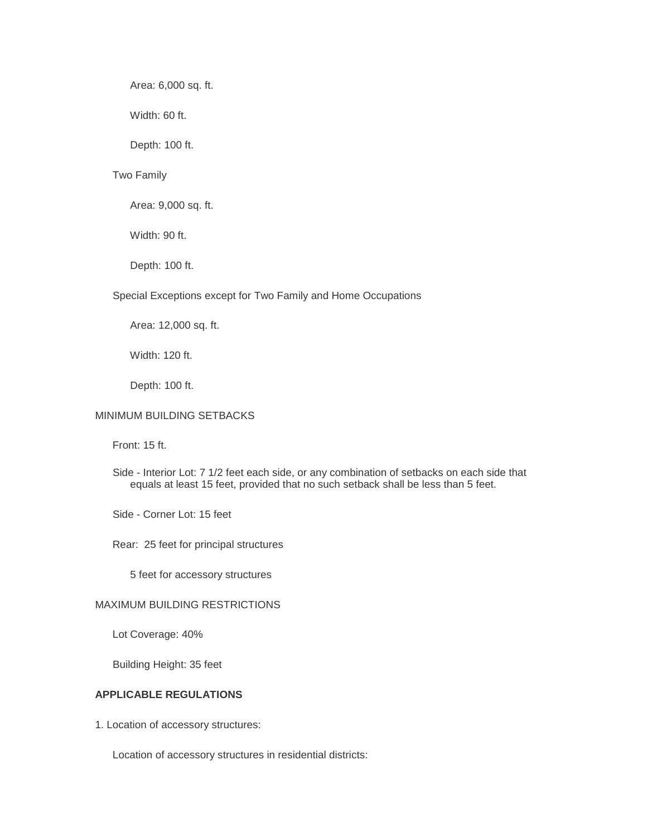Area: 6,000 sq. ft.

Width: 60 ft.

Depth: 100 ft.

#### Two Family

Area: 9,000 sq. ft.

Width: 90 ft.

Depth: 100 ft.

#### Special Exceptions except for Two Family and Home Occupations

Area: 12,000 sq. ft.

Width: 120 ft.

Depth: 100 ft.

## MINIMUM BUILDING SETBACKS

Front: 15 ft.

- Side Interior Lot: 7 1/2 feet each side, or any combination of setbacks on each side that equals at least 15 feet, provided that no such setback shall be less than 5 feet.
- Side Corner Lot: 15 feet

Rear: 25 feet for principal structures

5 feet for accessory structures

## MAXIMUM BUILDING RESTRICTIONS

Lot Coverage: 40%

Building Height: 35 feet

# **APPLICABLE REGULATIONS**

1. Location of accessory structures:

Location of accessory structures in residential districts: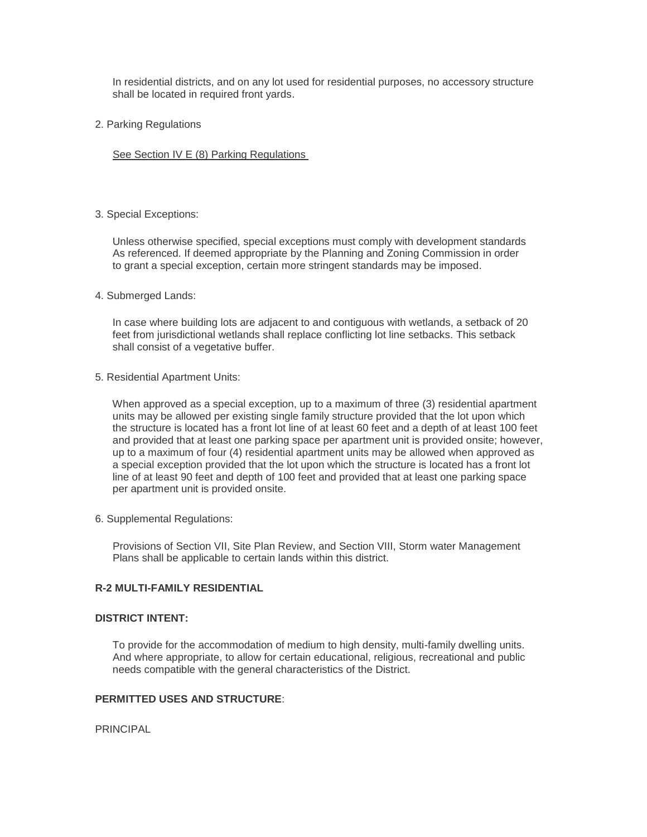In residential districts, and on any lot used for residential purposes, no accessory structure shall be located in required front yards.

2. Parking Regulations

See Section IV E (8) Parking Regulations

## 3. Special Exceptions:

 Unless otherwise specified, special exceptions must comply with development standards As referenced. If deemed appropriate by the Planning and Zoning Commission in order to grant a special exception, certain more stringent standards may be imposed.

#### 4. Submerged Lands:

 In case where building lots are adjacent to and contiguous with wetlands, a setback of 20 feet from jurisdictional wetlands shall replace conflicting lot line setbacks. This setback shall consist of a vegetative buffer.

5. Residential Apartment Units:

 When approved as a special exception, up to a maximum of three (3) residential apartment units may be allowed per existing single family structure provided that the lot upon which the structure is located has a front lot line of at least 60 feet and a depth of at least 100 feet and provided that at least one parking space per apartment unit is provided onsite; however, up to a maximum of four (4) residential apartment units may be allowed when approved as a special exception provided that the lot upon which the structure is located has a front lot line of at least 90 feet and depth of 100 feet and provided that at least one parking space per apartment unit is provided onsite.

6. Supplemental Regulations:

 Provisions of Section VII, Site Plan Review, and Section VIII, Storm water Management Plans shall be applicable to certain lands within this district.

# **R-2 MULTI-FAMILY RESIDENTIAL**

## **DISTRICT INTENT:**

 To provide for the accommodation of medium to high density, multi-family dwelling units. And where appropriate, to allow for certain educational, religious, recreational and public needs compatible with the general characteristics of the District.

## **PERMITTED USES AND STRUCTURE**:

PRINCIPAL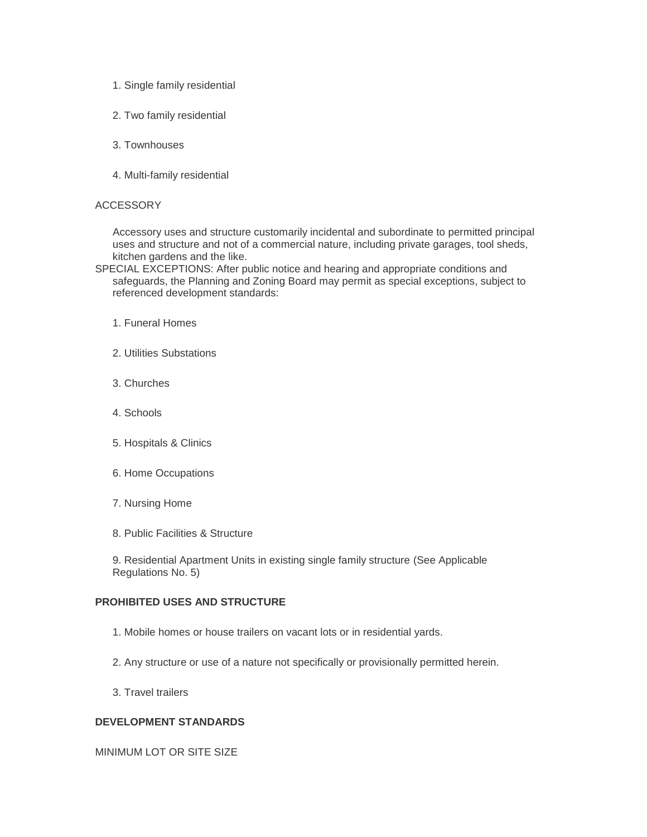- 1. Single family residential
- 2. Two family residential
- 3. Townhouses
- 4. Multi-family residential

#### **ACCESSORY**

 Accessory uses and structure customarily incidental and subordinate to permitted principal uses and structure and not of a commercial nature, including private garages, tool sheds, kitchen gardens and the like.

- SPECIAL EXCEPTIONS: After public notice and hearing and appropriate conditions and safeguards, the Planning and Zoning Board may permit as special exceptions, subject to referenced development standards:
	- 1. Funeral Homes
	- 2. Utilities Substations
	- 3. Churches
	- 4. Schools
	- 5. Hospitals & Clinics
	- 6. Home Occupations
	- 7. Nursing Home
	- 8. Public Facilities & Structure

 9. Residential Apartment Units in existing single family structure (See Applicable Regulations No. 5)

## **PROHIBITED USES AND STRUCTURE**

- 1. Mobile homes or house trailers on vacant lots or in residential yards.
- 2. Any structure or use of a nature not specifically or provisionally permitted herein.
- 3. Travel trailers

#### **DEVELOPMENT STANDARDS**

MINIMUM LOT OR SITE SIZE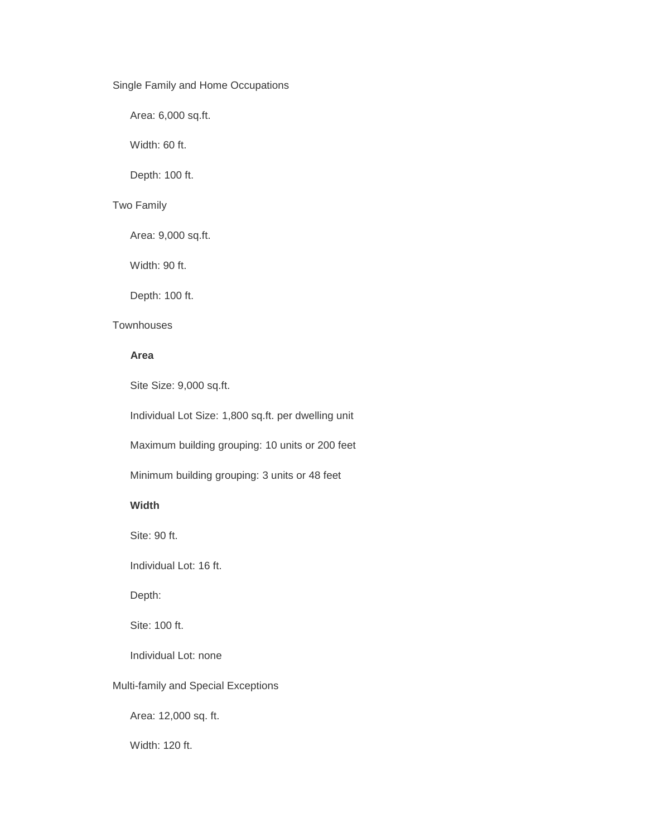## Single Family and Home Occupations

Area: 6,000 sq.ft.

Width: 60 ft.

Depth: 100 ft.

# Two Family

Area: 9,000 sq.ft.

Width: 90 ft.

Depth: 100 ft.

## **Townhouses**

# **Area**

Site Size: 9,000 sq.ft.

Individual Lot Size: 1,800 sq.ft. per dwelling unit

Maximum building grouping: 10 units or 200 feet

Minimum building grouping: 3 units or 48 feet

#### **Width**

Site: 90 ft.

Individual Lot: 16 ft.

Depth:

Site: 100 ft.

Individual Lot: none

## Multi-family and Special Exceptions

Area: 12,000 sq. ft.

Width: 120 ft.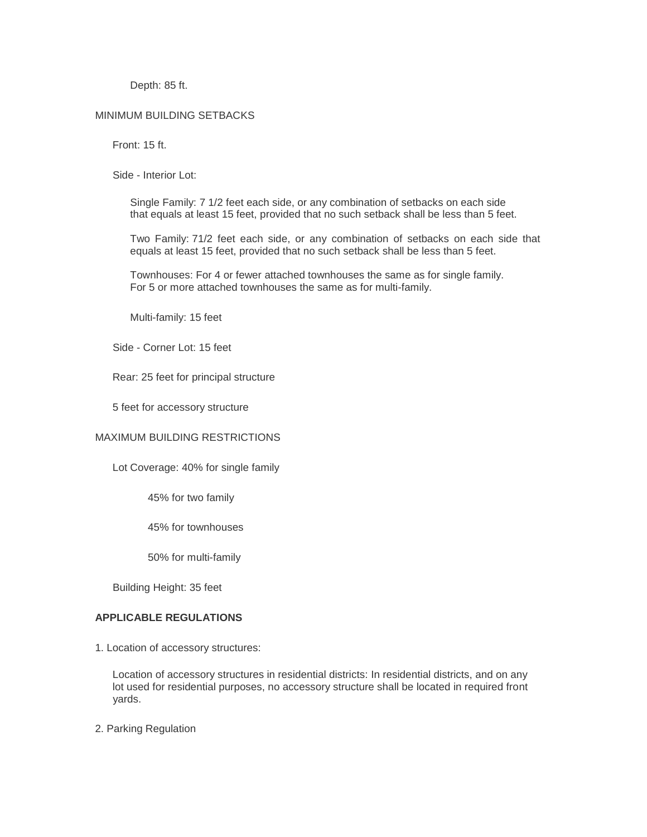Depth: 85 ft.

#### MINIMUM BUILDING SETBACKS

Front: 15 ft.

Side - Interior Lot:

 Single Family: 7 1/2 feet each side, or any combination of setbacks on each side that equals at least 15 feet, provided that no such setback shall be less than 5 feet.

 Two Family: 71/2 feet each side, or any combination of setbacks on each side that equals at least 15 feet, provided that no such setback shall be less than 5 feet.

 Townhouses: For 4 or fewer attached townhouses the same as for single family. For 5 or more attached townhouses the same as for multi-family.

Multi-family: 15 feet

Side - Corner Lot: 15 feet

Rear: 25 feet for principal structure

5 feet for accessory structure

#### MAXIMUM BUILDING RESTRICTIONS

Lot Coverage: 40% for single family

45% for two family

45% for townhouses

50% for multi-family

Building Height: 35 feet

## **APPLICABLE REGULATIONS**

1. Location of accessory structures:

 Location of accessory structures in residential districts: In residential districts, and on any lot used for residential purposes, no accessory structure shall be located in required front yards.

2. Parking Regulation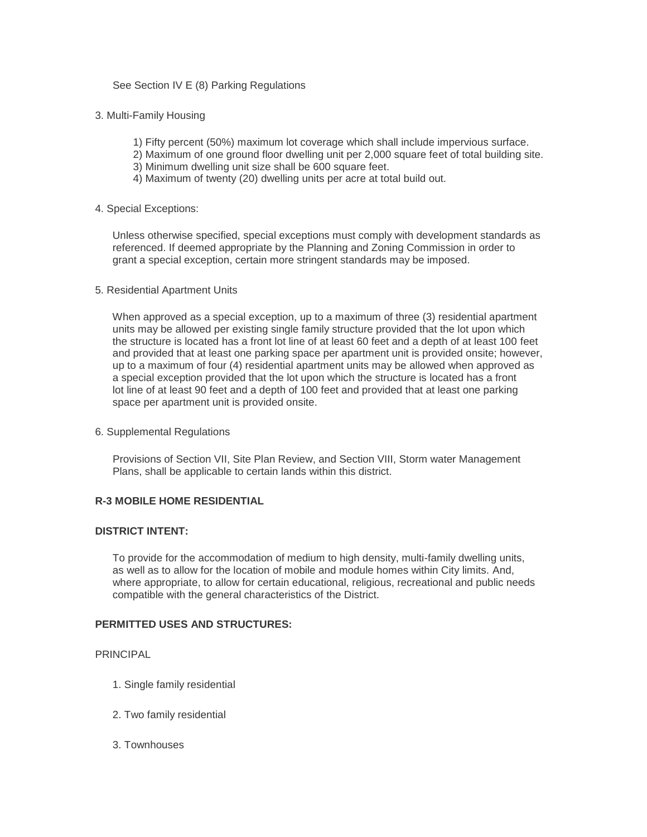See Section IV E (8) Parking Regulations

#### 3. Multi-Family Housing

- 1) Fifty percent (50%) maximum lot coverage which shall include impervious surface.
- 2) Maximum of one ground floor dwelling unit per 2,000 square feet of total building site.
- 3) Minimum dwelling unit size shall be 600 square feet.
- 4) Maximum of twenty (20) dwelling units per acre at total build out.

#### 4. Special Exceptions:

 Unless otherwise specified, special exceptions must comply with development standards as referenced. If deemed appropriate by the Planning and Zoning Commission in order to grant a special exception, certain more stringent standards may be imposed.

#### 5. Residential Apartment Units

 When approved as a special exception, up to a maximum of three (3) residential apartment units may be allowed per existing single family structure provided that the lot upon which the structure is located has a front lot line of at least 60 feet and a depth of at least 100 feet and provided that at least one parking space per apartment unit is provided onsite; however, up to a maximum of four (4) residential apartment units may be allowed when approved as a special exception provided that the lot upon which the structure is located has a front lot line of at least 90 feet and a depth of 100 feet and provided that at least one parking space per apartment unit is provided onsite.

#### 6. Supplemental Regulations

 Provisions of Section VII, Site Plan Review, and Section VIII, Storm water Management Plans, shall be applicable to certain lands within this district.

## **R-3 MOBILE HOME RESIDENTIAL**

## **DISTRICT INTENT:**

 To provide for the accommodation of medium to high density, multi-family dwelling units, as well as to allow for the location of mobile and module homes within City limits. And, where appropriate, to allow for certain educational, religious, recreational and public needs compatible with the general characteristics of the District.

#### **PERMITTED USES AND STRUCTURES:**

#### PRINCIPAL

- 1. Single family residential
- 2. Two family residential
- 3. Townhouses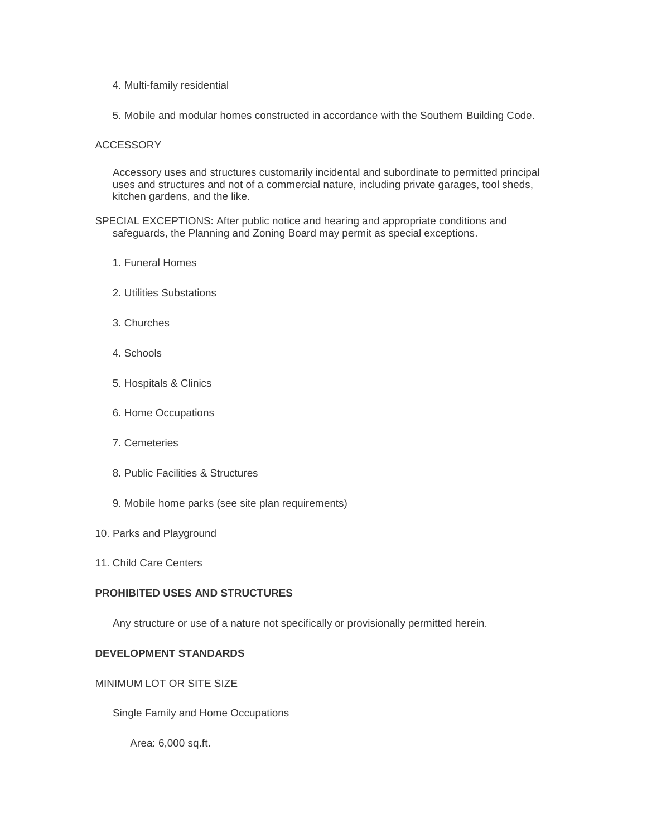- 4. Multi-family residential
- 5. Mobile and modular homes constructed in accordance with the Southern Building Code.

#### ACCESSORY

 Accessory uses and structures customarily incidental and subordinate to permitted principal uses and structures and not of a commercial nature, including private garages, tool sheds, kitchen gardens, and the like.

SPECIAL EXCEPTIONS: After public notice and hearing and appropriate conditions and safeguards, the Planning and Zoning Board may permit as special exceptions.

- 1. Funeral Homes
- 2. Utilities Substations
- 3. Churches
- 4. Schools
- 5. Hospitals & Clinics
- 6. Home Occupations
- 7. Cemeteries
- 8. Public Facilities & Structures
- 9. Mobile home parks (see site plan requirements)
- 10. Parks and Playground
- 11. Child Care Centers

## **PROHIBITED USES AND STRUCTURES**

Any structure or use of a nature not specifically or provisionally permitted herein.

#### **DEVELOPMENT STANDARDS**

## MINIMUM LOT OR SITE SIZE

Single Family and Home Occupations

Area: 6,000 sq.ft.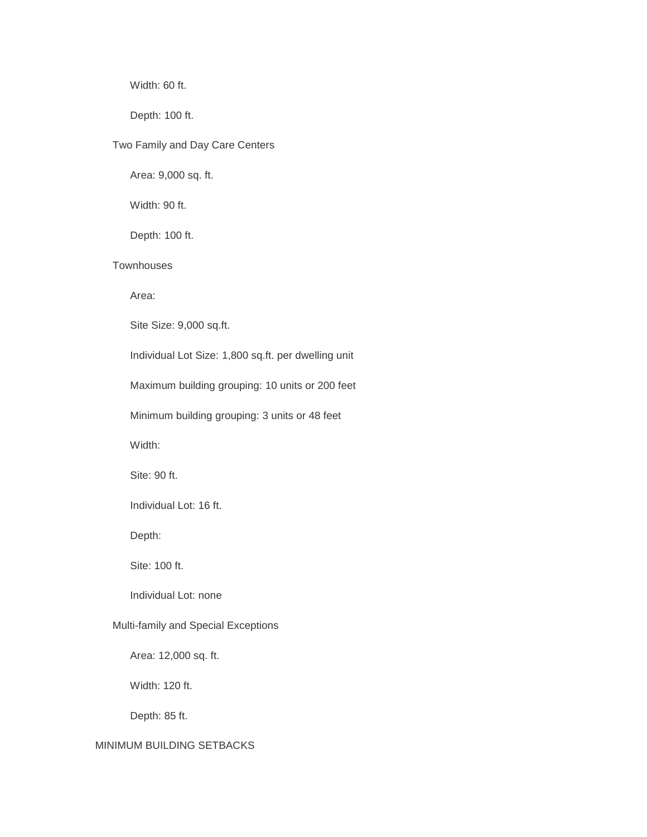Width: 60 ft.

Depth: 100 ft.

## Two Family and Day Care Centers

Area: 9,000 sq. ft.

Width: 90 ft.

Depth: 100 ft.

# **Townhouses**

Area:

Site Size: 9,000 sq.ft.

Individual Lot Size: 1,800 sq.ft. per dwelling unit

Maximum building grouping: 10 units or 200 feet

Minimum building grouping: 3 units or 48 feet

Width:

Site: 90 ft.

Individual Lot: 16 ft.

Depth:

Site: 100 ft.

Individual Lot: none

## Multi-family and Special Exceptions

Area: 12,000 sq. ft.

Width: 120 ft.

Depth: 85 ft.

# MINIMUM BUILDING SETBACKS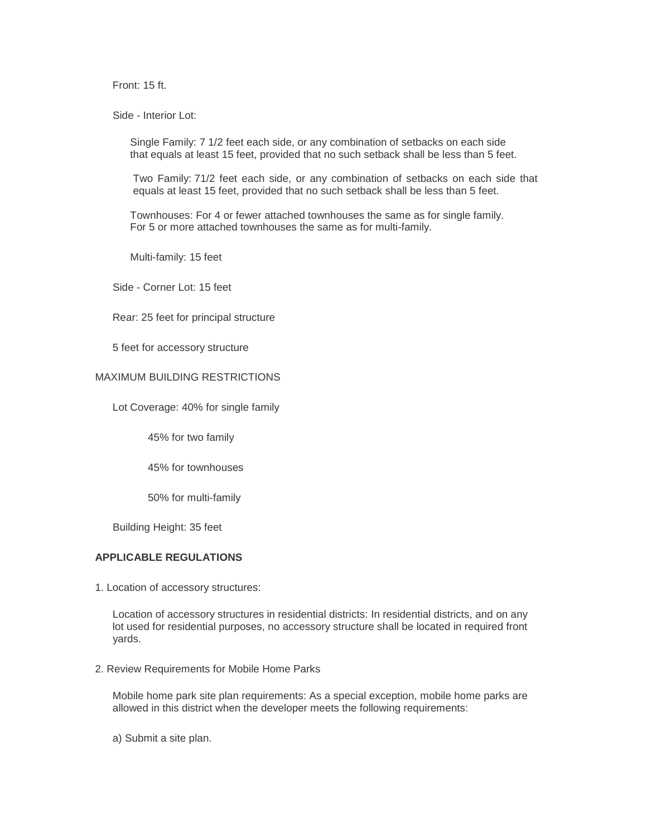Front: 15 ft.

Side - Interior Lot:

 Single Family: 7 1/2 feet each side, or any combination of setbacks on each side that equals at least 15 feet, provided that no such setback shall be less than 5 feet.

Two Family: 71/2 feet each side, or any combination of setbacks on each side that equals at least 15 feet, provided that no such setback shall be less than 5 feet.

 Townhouses: For 4 or fewer attached townhouses the same as for single family. For 5 or more attached townhouses the same as for multi-family.

Multi-family: 15 feet

Side - Corner Lot: 15 feet

Rear: 25 feet for principal structure

5 feet for accessory structure

## MAXIMUM BUILDING RESTRICTIONS

Lot Coverage: 40% for single family

45% for two family

45% for townhouses

50% for multi-family

Building Height: 35 feet

# **APPLICABLE REGULATIONS**

1. Location of accessory structures:

 Location of accessory structures in residential districts: In residential districts, and on any lot used for residential purposes, no accessory structure shall be located in required front yards.

2. Review Requirements for Mobile Home Parks

 Mobile home park site plan requirements: As a special exception, mobile home parks are allowed in this district when the developer meets the following requirements:

a) Submit a site plan.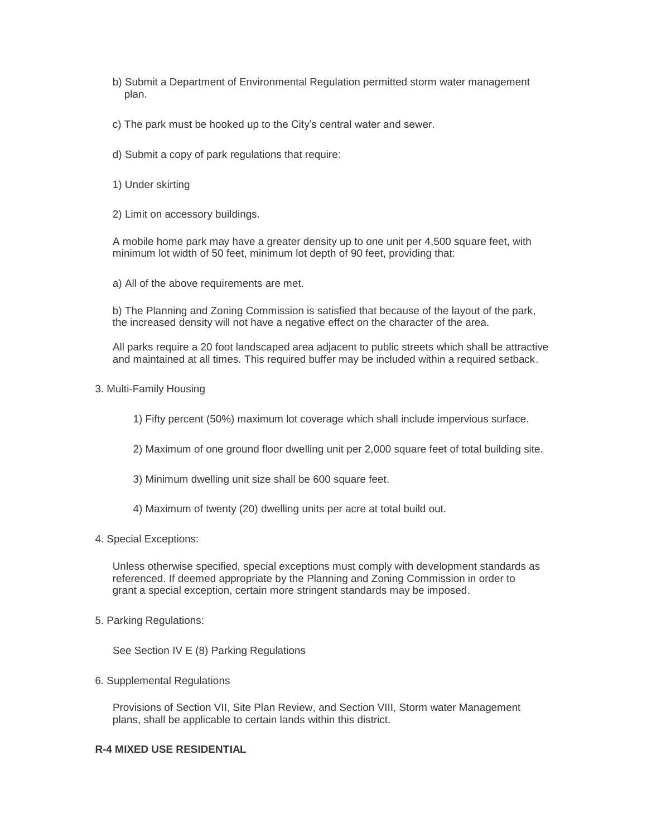- b) Submit a Department of Environmental Regulation permitted storm water management plan.
- c) The park must be hooked up to the City's central water and sewer.
- d) Submit a copy of park regulations that require:
- 1) Under skirting
- 2) Limit on accessory buildings.

 A mobile home park may have a greater density up to one unit per 4,500 square feet, with minimum lot width of 50 feet, minimum lot depth of 90 feet, providing that:

a) All of the above requirements are met.

 b) The Planning and Zoning Commission is satisfied that because of the layout of the park, the increased density will not have a negative effect on the character of the area.

 All parks require a 20 foot landscaped area adjacent to public streets which shall be attractive and maintained at all times. This required buffer may be included within a required setback.

3. Multi-Family Housing

1) Fifty percent (50%) maximum lot coverage which shall include impervious surface.

- 2) Maximum of one ground floor dwelling unit per 2,000 square feet of total building site.
- 3) Minimum dwelling unit size shall be 600 square feet.
- 4) Maximum of twenty (20) dwelling units per acre at total build out.
- 4. Special Exceptions:

 Unless otherwise specified, special exceptions must comply with development standards as referenced. If deemed appropriate by the Planning and Zoning Commission in order to grant a special exception, certain more stringent standards may be imposed.

5. Parking Regulations:

See Section IV E (8) Parking Regulations

#### 6. Supplemental Regulations

 Provisions of Section VII, Site Plan Review, and Section VIII, Storm water Management plans, shall be applicable to certain lands within this district.

## **R-4 MIXED USE RESIDENTIAL**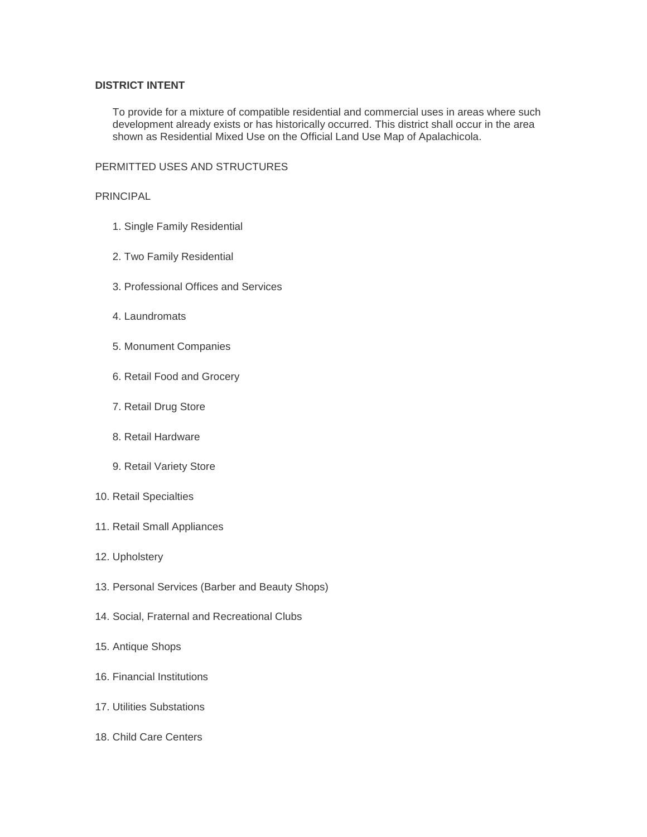## **DISTRICT INTENT**

 To provide for a mixture of compatible residential and commercial uses in areas where such development already exists or has historically occurred. This district shall occur in the area shown as Residential Mixed Use on the Official Land Use Map of Apalachicola.

#### PERMITTED USES AND STRUCTURES

#### PRINCIPAL

- 1. Single Family Residential
- 2. Two Family Residential
- 3. Professional Offices and Services
- 4. Laundromats
- 5. Monument Companies
- 6. Retail Food and Grocery
- 7. Retail Drug Store
- 8. Retail Hardware
- 9. Retail Variety Store
- 10. Retail Specialties
- 11. Retail Small Appliances
- 12. Upholstery
- 13. Personal Services (Barber and Beauty Shops)
- 14. Social, Fraternal and Recreational Clubs
- 15. Antique Shops
- 16. Financial Institutions
- 17. Utilities Substations
- 18. Child Care Centers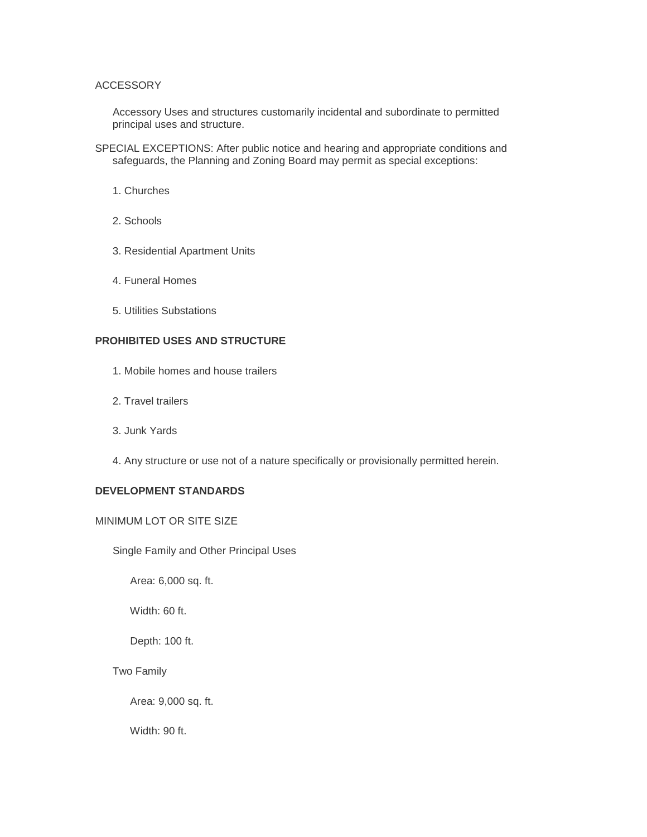#### ACCESSORY

 Accessory Uses and structures customarily incidental and subordinate to permitted principal uses and structure.

- SPECIAL EXCEPTIONS: After public notice and hearing and appropriate conditions and safeguards, the Planning and Zoning Board may permit as special exceptions:
	- 1. Churches
	- 2. Schools
	- 3. Residential Apartment Units
	- 4. Funeral Homes
	- 5. Utilities Substations

# **PROHIBITED USES AND STRUCTURE**

- 1. Mobile homes and house trailers
- 2. Travel trailers
- 3. Junk Yards
- 4. Any structure or use not of a nature specifically or provisionally permitted herein.

# **DEVELOPMENT STANDARDS**

## MINIMUM LOT OR SITE SIZE

Single Family and Other Principal Uses

Area: 6,000 sq. ft.

Width: 60 ft.

Depth: 100 ft.

Two Family

Area: 9,000 sq. ft.

Width: 90 ft.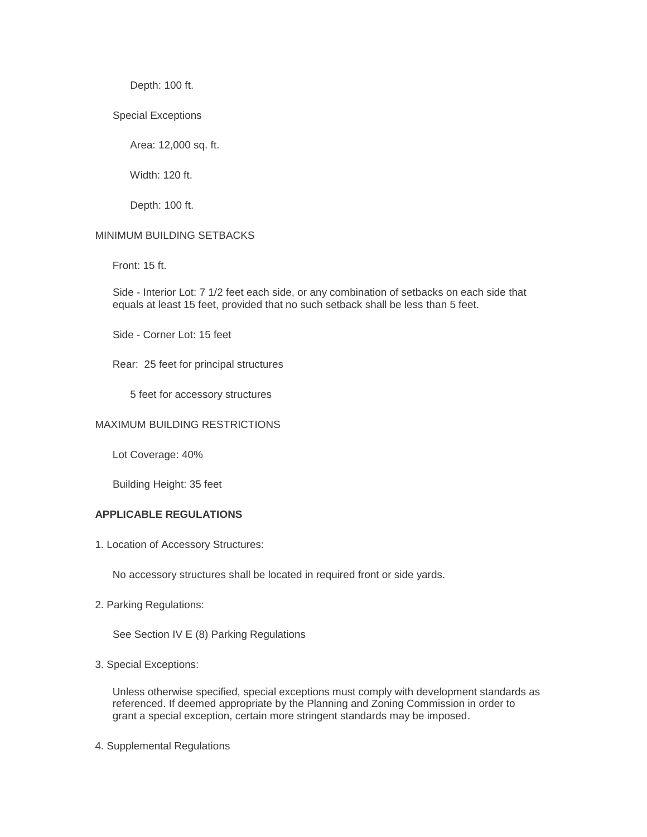Depth: 100 ft.

Special Exceptions

Area: 12,000 sq. ft.

Width: 120 ft.

Depth: 100 ft.

#### MINIMUM BUILDING SETBACKS

Front: 15 ft.

 Side - Interior Lot: 7 1/2 feet each side, or any combination of setbacks on each side that equals at least 15 feet, provided that no such setback shall be less than 5 feet.

Side - Corner Lot: 15 feet

Rear: 25 feet for principal structures

5 feet for accessory structures

## MAXIMUM BUILDING RESTRICTIONS

Lot Coverage: 40%

Building Height: 35 feet

## **APPLICABLE REGULATIONS**

1. Location of Accessory Structures:

No accessory structures shall be located in required front or side yards.

2. Parking Regulations:

See Section IV E (8) Parking Regulations

3. Special Exceptions:

 Unless otherwise specified, special exceptions must comply with development standards as referenced. If deemed appropriate by the Planning and Zoning Commission in order to grant a special exception, certain more stringent standards may be imposed.

4. Supplemental Regulations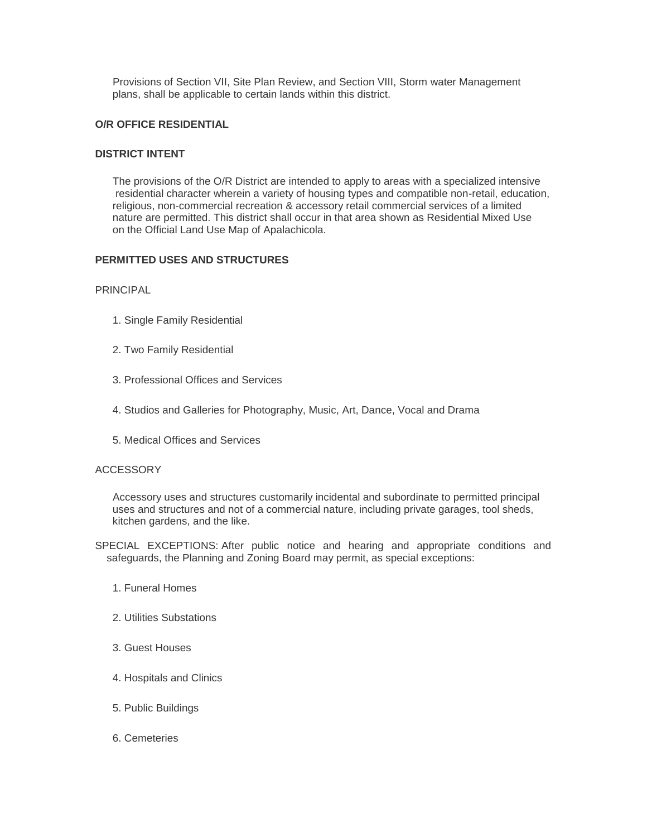Provisions of Section VII, Site Plan Review, and Section VIII, Storm water Management plans, shall be applicable to certain lands within this district.

## **O/R OFFICE RESIDENTIAL**

## **DISTRICT INTENT**

 The provisions of the O/R District are intended to apply to areas with a specialized intensive residential character wherein a variety of housing types and compatible non-retail, education, religious, non-commercial recreation & accessory retail commercial services of a limited nature are permitted. This district shall occur in that area shown as Residential Mixed Use on the Official Land Use Map of Apalachicola.

## **PERMITTED USES AND STRUCTURES**

PRINCIPAL

- 1. Single Family Residential
- 2. Two Family Residential
- 3. Professional Offices and Services
- 4. Studios and Galleries for Photography, Music, Art, Dance, Vocal and Drama
- 5. Medical Offices and Services

#### **ACCESSORY**

 Accessory uses and structures customarily incidental and subordinate to permitted principal uses and structures and not of a commercial nature, including private garages, tool sheds, kitchen gardens, and the like.

SPECIAL EXCEPTIONS: After public notice and hearing and appropriate conditions and safeguards, the Planning and Zoning Board may permit, as special exceptions:

- 1. Funeral Homes
- 2. Utilities Substations
- 3. Guest Houses
- 4. Hospitals and Clinics
- 5. Public Buildings
- 6. Cemeteries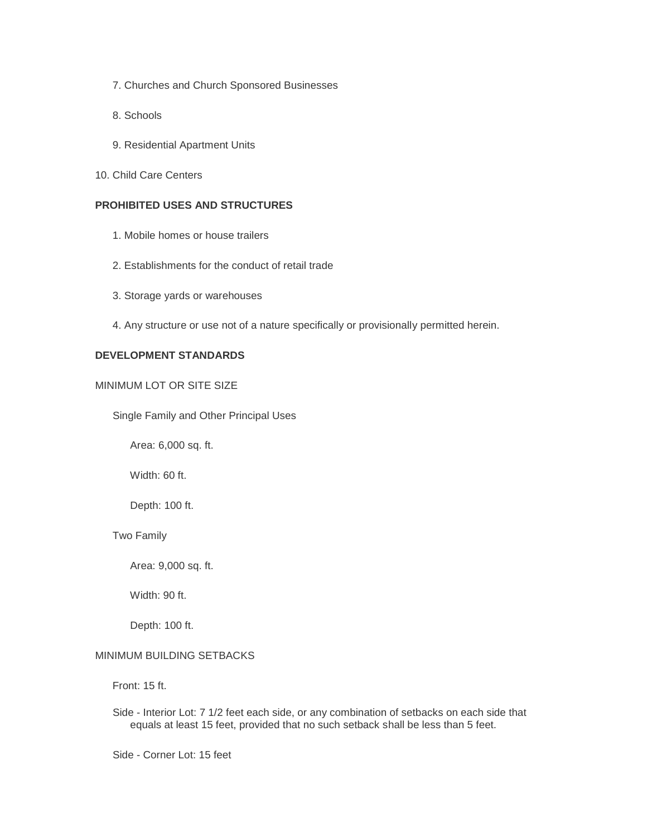- 7. Churches and Church Sponsored Businesses
- 8. Schools
- 9. Residential Apartment Units
- 10. Child Care Centers

# **PROHIBITED USES AND STRUCTURES**

- 1. Mobile homes or house trailers
- 2. Establishments for the conduct of retail trade
- 3. Storage yards or warehouses
- 4. Any structure or use not of a nature specifically or provisionally permitted herein.

## **DEVELOPMENT STANDARDS**

#### MINIMUM LOT OR SITE SIZE

Single Family and Other Principal Uses

Area: 6,000 sq. ft.

Width: 60 ft.

Depth: 100 ft.

Two Family

Area: 9,000 sq. ft.

Width: 90 ft.

Depth: 100 ft.

#### MINIMUM BUILDING SETBACKS

Front: 15 ft.

 Side - Interior Lot: 7 1/2 feet each side, or any combination of setbacks on each side that equals at least 15 feet, provided that no such setback shall be less than 5 feet.

Side - Corner Lot: 15 feet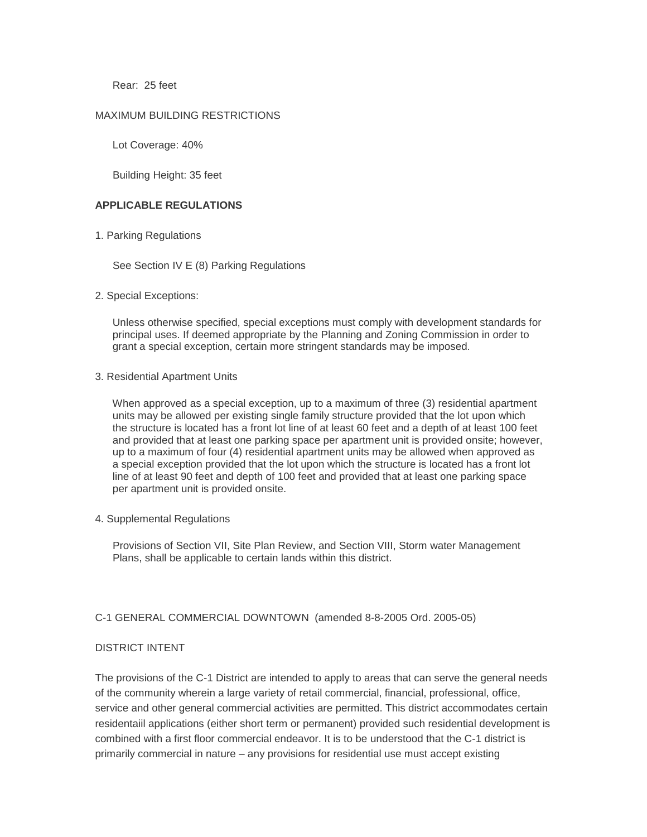Rear: 25 feet

#### MAXIMUM BUILDING RESTRICTIONS

Lot Coverage: 40%

Building Height: 35 feet

#### **APPLICABLE REGULATIONS**

1. Parking Regulations

See Section IV E (8) Parking Regulations

2. Special Exceptions:

 Unless otherwise specified, special exceptions must comply with development standards for principal uses. If deemed appropriate by the Planning and Zoning Commission in order to grant a special exception, certain more stringent standards may be imposed.

#### 3. Residential Apartment Units

 When approved as a special exception, up to a maximum of three (3) residential apartment units may be allowed per existing single family structure provided that the lot upon which the structure is located has a front lot line of at least 60 feet and a depth of at least 100 feet and provided that at least one parking space per apartment unit is provided onsite; however, up to a maximum of four (4) residential apartment units may be allowed when approved as a special exception provided that the lot upon which the structure is located has a front lot line of at least 90 feet and depth of 100 feet and provided that at least one parking space per apartment unit is provided onsite.

4. Supplemental Regulations

 Provisions of Section VII, Site Plan Review, and Section VIII, Storm water Management Plans, shall be applicable to certain lands within this district.

#### C-1 GENERAL COMMERCIAL DOWNTOWN (amended 8-8-2005 Ord. 2005-05)

#### DISTRICT INTENT

The provisions of the C-1 District are intended to apply to areas that can serve the general needs of the community wherein a large variety of retail commercial, financial, professional, office, service and other general commercial activities are permitted. This district accommodates certain residentaiil applications (either short term or permanent) provided such residential development is combined with a first floor commercial endeavor. It is to be understood that the C-1 district is primarily commercial in nature – any provisions for residential use must accept existing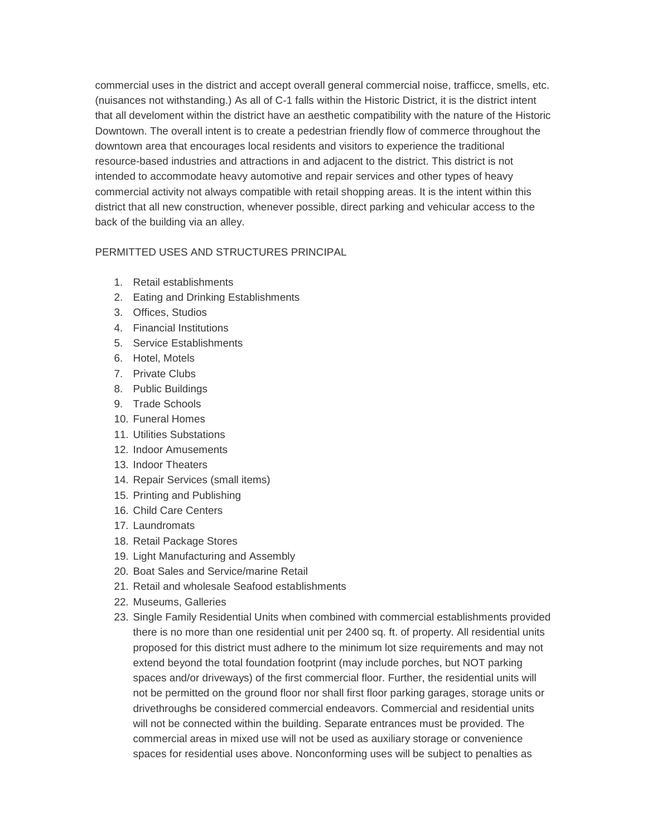commercial uses in the district and accept overall general commercial noise, trafficce, smells, etc. (nuisances not withstanding.) As all of C-1 falls within the Historic District, it is the district intent that all develoment within the district have an aesthetic compatibility with the nature of the Historic Downtown. The overall intent is to create a pedestrian friendly flow of commerce throughout the downtown area that encourages local residents and visitors to experience the traditional resource-based industries and attractions in and adjacent to the district. This district is not intended to accommodate heavy automotive and repair services and other types of heavy commercial activity not always compatible with retail shopping areas. It is the intent within this district that all new construction, whenever possible, direct parking and vehicular access to the back of the building via an alley.

# PERMITTED USES AND STRUCTURES PRINCIPAL

- 1. Retail establishments
- 2. Eating and Drinking Establishments
- 3. Offices, Studios
- 4. Financial Institutions
- 5. Service Establishments
- 6. Hotel, Motels
- 7. Private Clubs
- 8. Public Buildings
- 9. Trade Schools
- 10. Funeral Homes
- 11. Utilities Substations
- 12. Indoor Amusements
- 13. Indoor Theaters
- 14. Repair Services (small items)
- 15. Printing and Publishing
- 16. Child Care Centers
- 17. Laundromats
- 18. Retail Package Stores
- 19. Light Manufacturing and Assembly
- 20. Boat Sales and Service/marine Retail
- 21. Retail and wholesale Seafood establishments
- 22. Museums, Galleries
- 23. Single Family Residential Units when combined with commercial establishments provided there is no more than one residential unit per 2400 sq. ft. of property. All residential units proposed for this district must adhere to the minimum lot size requirements and may not extend beyond the total foundation footprint (may include porches, but NOT parking spaces and/or driveways) of the first commercial floor. Further, the residential units will not be permitted on the ground floor nor shall first floor parking garages, storage units or drivethroughs be considered commercial endeavors. Commercial and residential units will not be connected within the building. Separate entrances must be provided. The commercial areas in mixed use will not be used as auxiliary storage or convenience spaces for residential uses above. Nonconforming uses will be subject to penalties as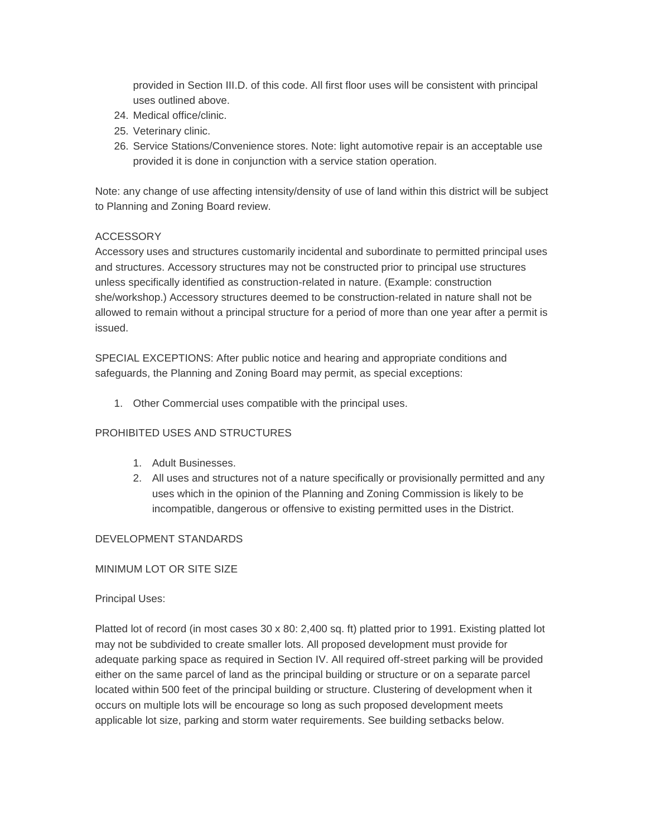provided in Section III.D. of this code. All first floor uses will be consistent with principal uses outlined above.

- 24. Medical office/clinic.
- 25. Veterinary clinic.
- 26. Service Stations/Convenience stores. Note: light automotive repair is an acceptable use provided it is done in conjunction with a service station operation.

Note: any change of use affecting intensity/density of use of land within this district will be subject to Planning and Zoning Board review.

## ACCESSORY

Accessory uses and structures customarily incidental and subordinate to permitted principal uses and structures. Accessory structures may not be constructed prior to principal use structures unless specifically identified as construction-related in nature. (Example: construction she/workshop.) Accessory structures deemed to be construction-related in nature shall not be allowed to remain without a principal structure for a period of more than one year after a permit is issued.

SPECIAL EXCEPTIONS: After public notice and hearing and appropriate conditions and safeguards, the Planning and Zoning Board may permit, as special exceptions:

1. Other Commercial uses compatible with the principal uses.

# PROHIBITED USES AND STRUCTURES

- 1. Adult Businesses.
- 2. All uses and structures not of a nature specifically or provisionally permitted and any uses which in the opinion of the Planning and Zoning Commission is likely to be incompatible, dangerous or offensive to existing permitted uses in the District.

#### DEVELOPMENT STANDARDS

#### MINIMUM LOT OR SITE SIZE

#### Principal Uses:

Platted lot of record (in most cases 30 x 80: 2,400 sq. ft) platted prior to 1991. Existing platted lot may not be subdivided to create smaller lots. All proposed development must provide for adequate parking space as required in Section IV. All required off-street parking will be provided either on the same parcel of land as the principal building or structure or on a separate parcel located within 500 feet of the principal building or structure. Clustering of development when it occurs on multiple lots will be encourage so long as such proposed development meets applicable lot size, parking and storm water requirements. See building setbacks below.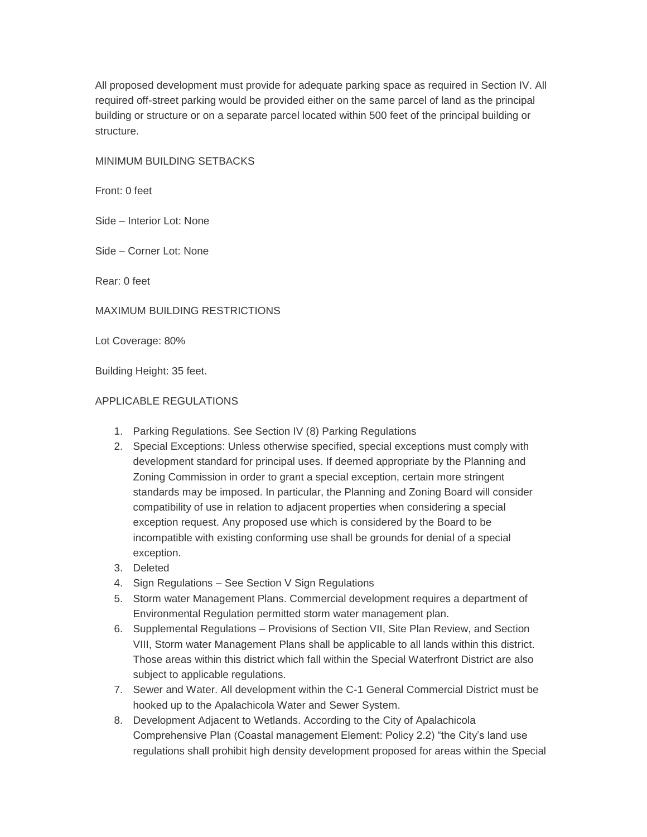All proposed development must provide for adequate parking space as required in Section IV. All required off-street parking would be provided either on the same parcel of land as the principal building or structure or on a separate parcel located within 500 feet of the principal building or structure.

MINIMUM BUILDING SETBACKS

Front: 0 feet

Side – Interior Lot: None

Side – Corner Lot: None

Rear: 0 feet

MAXIMUM BUILDING RESTRICTIONS

Lot Coverage: 80%

Building Height: 35 feet.

## APPLICABLE REGULATIONS

- 1. Parking Regulations. See Section IV (8) Parking Regulations
- 2. Special Exceptions: Unless otherwise specified, special exceptions must comply with development standard for principal uses. If deemed appropriate by the Planning and Zoning Commission in order to grant a special exception, certain more stringent standards may be imposed. In particular, the Planning and Zoning Board will consider compatibility of use in relation to adjacent properties when considering a special exception request. Any proposed use which is considered by the Board to be incompatible with existing conforming use shall be grounds for denial of a special exception.
- 3. Deleted
- 4. Sign Regulations See Section V Sign Regulations
- 5. Storm water Management Plans. Commercial development requires a department of Environmental Regulation permitted storm water management plan.
- 6. Supplemental Regulations Provisions of Section VII, Site Plan Review, and Section VIII, Storm water Management Plans shall be applicable to all lands within this district. Those areas within this district which fall within the Special Waterfront District are also subject to applicable regulations.
- 7. Sewer and Water. All development within the C-1 General Commercial District must be hooked up to the Apalachicola Water and Sewer System.
- 8. Development Adjacent to Wetlands. According to the City of Apalachicola Comprehensive Plan (Coastal management Element: Policy 2.2) "the City's land use regulations shall prohibit high density development proposed for areas within the Special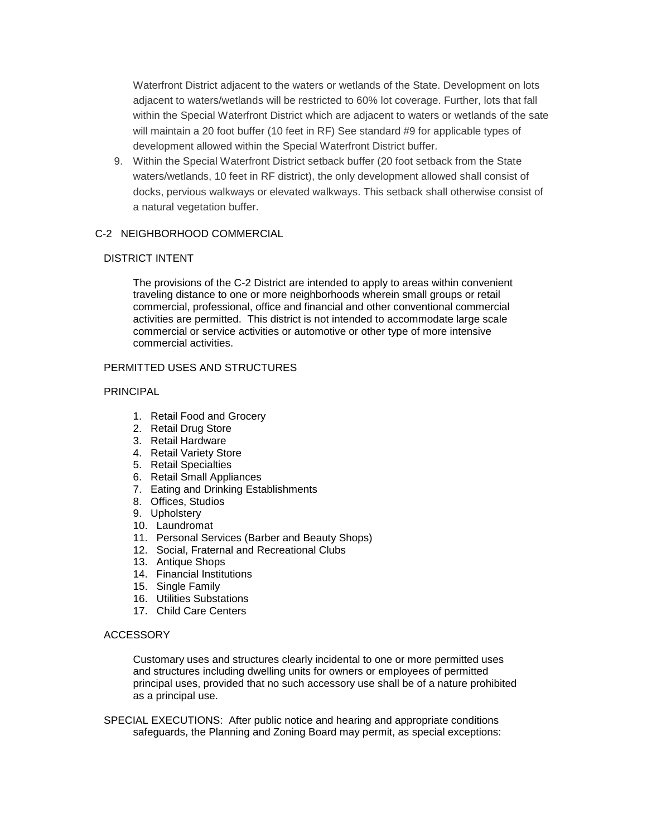Waterfront District adjacent to the waters or wetlands of the State. Development on lots adjacent to waters/wetlands will be restricted to 60% lot coverage. Further, lots that fall within the Special Waterfront District which are adjacent to waters or wetlands of the sate will maintain a 20 foot buffer (10 feet in RF) See standard #9 for applicable types of development allowed within the Special Waterfront District buffer.

9. Within the Special Waterfront District setback buffer (20 foot setback from the State waters/wetlands, 10 feet in RF district), the only development allowed shall consist of docks, pervious walkways or elevated walkways. This setback shall otherwise consist of a natural vegetation buffer.

## C-2 NEIGHBORHOOD COMMERCIAL

#### DISTRICT INTENT

The provisions of the C-2 District are intended to apply to areas within convenient traveling distance to one or more neighborhoods wherein small groups or retail commercial, professional, office and financial and other conventional commercial activities are permitted. This district is not intended to accommodate large scale commercial or service activities or automotive or other type of more intensive commercial activities.

## PERMITTED USES AND STRUCTURES

#### PRINCIPAL

- 1. Retail Food and Grocery
- 2. Retail Drug Store
- 3. Retail Hardware
- 4. Retail Variety Store
- 5. Retail Specialties
- 6. Retail Small Appliances
- 7. Eating and Drinking Establishments
- 8. Offices, Studios
- 9. Upholstery
- 10. Laundromat
- 11. Personal Services (Barber and Beauty Shops)
- 12. Social, Fraternal and Recreational Clubs
- 13. Antique Shops
- 14. Financial Institutions
- 15. Single Family
- 16. Utilities Substations
- 17. Child Care Centers

#### ACCESSORY

Customary uses and structures clearly incidental to one or more permitted uses and structures including dwelling units for owners or employees of permitted principal uses, provided that no such accessory use shall be of a nature prohibited as a principal use.

 SPECIAL EXECUTIONS: After public notice and hearing and appropriate conditions safeguards, the Planning and Zoning Board may permit, as special exceptions: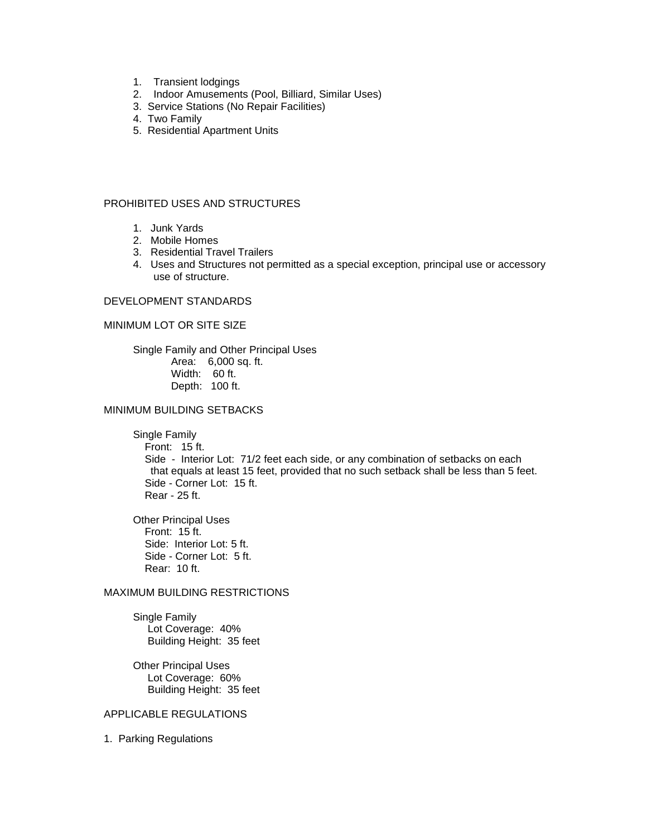- 1. Transient lodgings
- 2. Indoor Amusements (Pool, Billiard, Similar Uses)
- 3. Service Stations (No Repair Facilities)
- 4. Two Family
- 5. Residential Apartment Units

## PROHIBITED USES AND STRUCTURES

- 1. Junk Yards
- 2. Mobile Homes
- 3. Residential Travel Trailers
- 4. Uses and Structures not permitted as a special exception, principal use or accessory use of structure.

#### DEVELOPMENT STANDARDS

#### MINIMUM LOT OR SITE SIZE

Single Family and Other Principal Uses Area: 6,000 sq. ft. Width: 60 ft. Depth: 100 ft.

## MINIMUM BUILDING SETBACKS

Single Family

Front: 15 ft.

 Side - Interior Lot: 71/2 feet each side, or any combination of setbacks on each that equals at least 15 feet, provided that no such setback shall be less than 5 feet. Side - Corner Lot: 15 ft. Rear - 25 ft.

Other Principal Uses Front: 15 ft. Side: Interior Lot: 5 ft. Side - Corner Lot: 5 ft. Rear: 10 ft.

## MAXIMUM BUILDING RESTRICTIONS

Single Family Lot Coverage: 40% Building Height: 35 feet

Other Principal Uses Lot Coverage: 60% Building Height: 35 feet

#### APPLICABLE REGULATIONS

1. Parking Regulations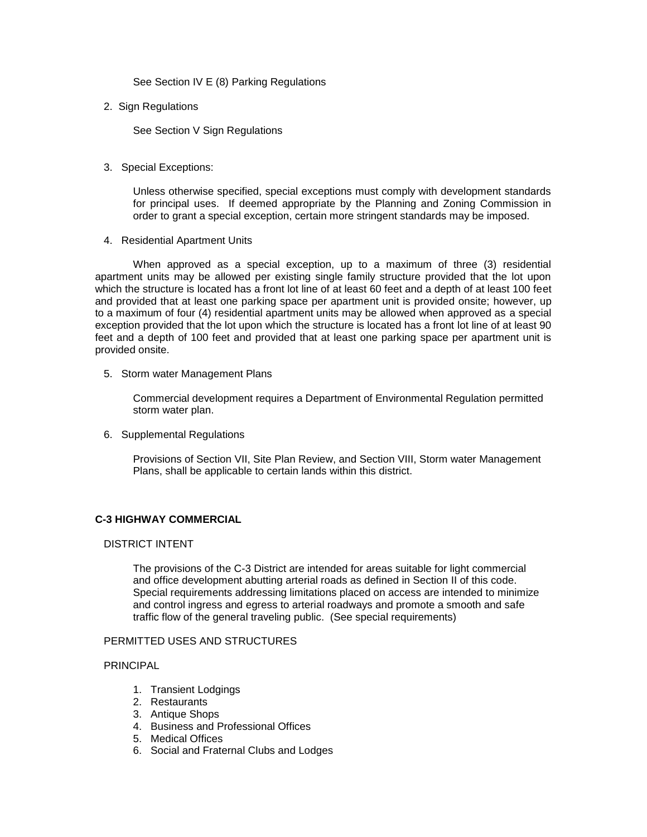See Section IV E (8) Parking Regulations

2. Sign Regulations

See Section V Sign Regulations

3. Special Exceptions:

Unless otherwise specified, special exceptions must comply with development standards for principal uses. If deemed appropriate by the Planning and Zoning Commission in order to grant a special exception, certain more stringent standards may be imposed.

4. Residential Apartment Units

When approved as a special exception, up to a maximum of three (3) residential apartment units may be allowed per existing single family structure provided that the lot upon which the structure is located has a front lot line of at least 60 feet and a depth of at least 100 feet and provided that at least one parking space per apartment unit is provided onsite; however, up to a maximum of four (4) residential apartment units may be allowed when approved as a special exception provided that the lot upon which the structure is located has a front lot line of at least 90 feet and a depth of 100 feet and provided that at least one parking space per apartment unit is provided onsite.

5. Storm water Management Plans

Commercial development requires a Department of Environmental Regulation permitted storm water plan.

6. Supplemental Regulations

Provisions of Section VII, Site Plan Review, and Section VIII, Storm water Management Plans, shall be applicable to certain lands within this district.

# **C-3 HIGHWAY COMMERCIAL**

#### DISTRICT INTENT

The provisions of the C-3 District are intended for areas suitable for light commercial and office development abutting arterial roads as defined in Section II of this code. Special requirements addressing limitations placed on access are intended to minimize and control ingress and egress to arterial roadways and promote a smooth and safe traffic flow of the general traveling public. (See special requirements)

# PERMITTED USES AND STRUCTURES

## PRINCIPAL

- 1. Transient Lodgings
- 2. Restaurants
- 3. Antique Shops
- 4. Business and Professional Offices
- 5. Medical Offices
- 6. Social and Fraternal Clubs and Lodges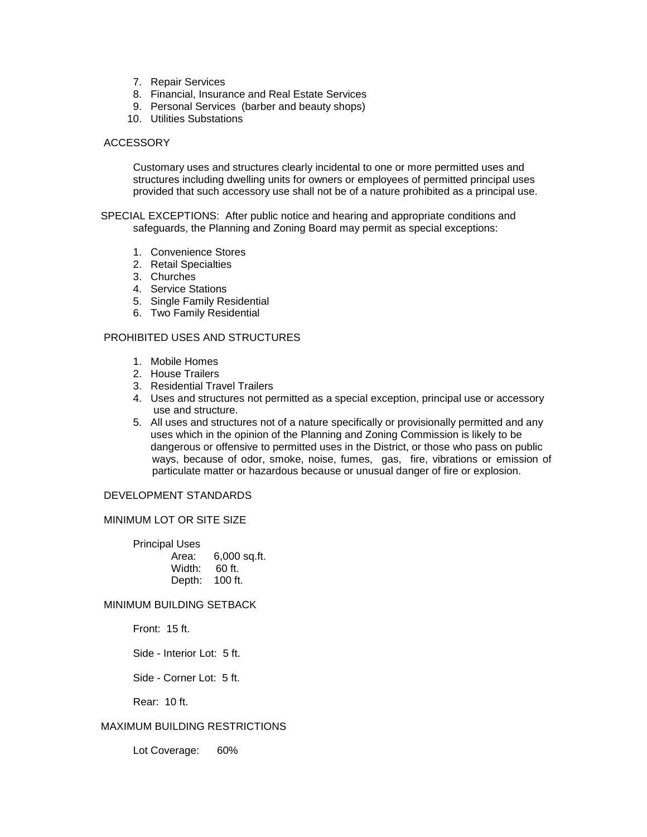- 7. Repair Services
- 8. Financial, Insurance and Real Estate Services
- 9. Personal Services (barber and beauty shops)
- 10. Utilities Substations

#### ACCESSORY

Customary uses and structures clearly incidental to one or more permitted uses and structures including dwelling units for owners or employees of permitted principal uses provided that such accessory use shall not be of a nature prohibited as a principal use.

 SPECIAL EXCEPTIONS: After public notice and hearing and appropriate conditions and safeguards, the Planning and Zoning Board may permit as special exceptions:

- 1. Convenience Stores
- 2. Retail Specialties
- 3. Churches
- 4. Service Stations
- 5. Single Family Residential
- 6. Two Family Residential

## PROHIBITED USES AND STRUCTURES

- 1. Mobile Homes
- 2. House Trailers
- 3. Residential Travel Trailers
- 4. Uses and structures not permitted as a special exception, principal use or accessory use and structure.
- 5. All uses and structures not of a nature specifically or provisionally permitted and any uses which in the opinion of the Planning and Zoning Commission is likely to be dangerous or offensive to permitted uses in the District, or those who pass on public ways, because of odor, smoke, noise, fumes, gas, fire, vibrations or emission of particulate matter or hazardous because or unusual danger of fire or explosion.

#### DEVELOPMENT STANDARDS

#### MINIMUM LOT OR SITE SIZE

| <b>Principal Uses</b> |                |
|-----------------------|----------------|
| Area:                 | $6,000$ sq.ft. |
| Width:                | 60 ft.         |
| Depth:                | $100$ ft.      |

#### MINIMUM BUILDING SETBACK

Front: 15 ft.

Side - Interior Lot: 5 ft.

Side - Corner Lot: 5 ft.

Rear: 10 ft.

## MAXIMUM BUILDING RESTRICTIONS

Lot Coverage: 60%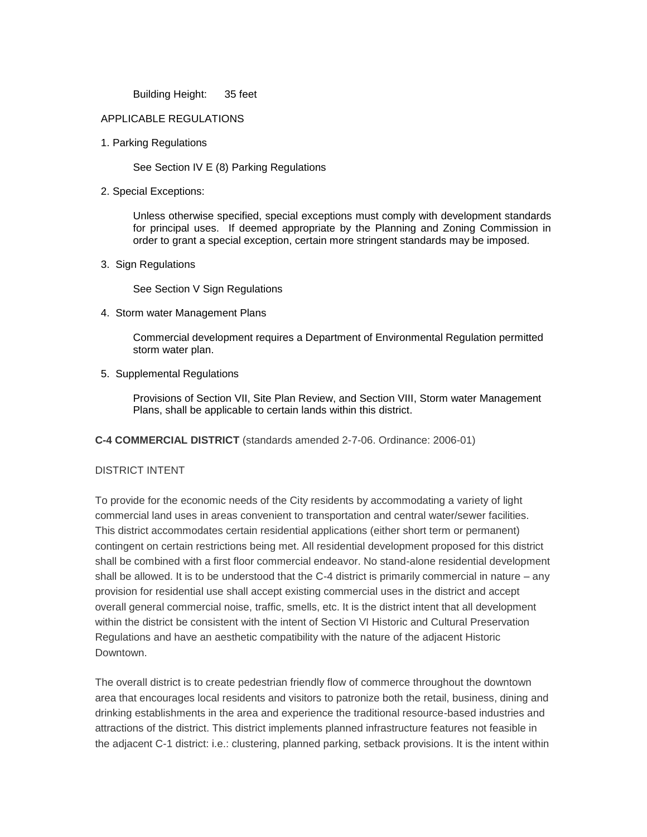Building Height: 35 feet

## APPLICABLE REGULATIONS

1. Parking Regulations

See Section IV E (8) Parking Regulations

2. Special Exceptions:

Unless otherwise specified, special exceptions must comply with development standards for principal uses. If deemed appropriate by the Planning and Zoning Commission in order to grant a special exception, certain more stringent standards may be imposed.

3. Sign Regulations

See Section V Sign Regulations

4. Storm water Management Plans

Commercial development requires a Department of Environmental Regulation permitted storm water plan.

5. Supplemental Regulations

Provisions of Section VII, Site Plan Review, and Section VIII, Storm water Management Plans, shall be applicable to certain lands within this district.

**C-4 COMMERCIAL DISTRICT** (standards amended 2-7-06. Ordinance: 2006-01)

# DISTRICT INTENT

To provide for the economic needs of the City residents by accommodating a variety of light commercial land uses in areas convenient to transportation and central water/sewer facilities. This district accommodates certain residential applications (either short term or permanent) contingent on certain restrictions being met. All residential development proposed for this district shall be combined with a first floor commercial endeavor. No stand-alone residential development shall be allowed. It is to be understood that the C-4 district is primarily commercial in nature – any provision for residential use shall accept existing commercial uses in the district and accept overall general commercial noise, traffic, smells, etc. It is the district intent that all development within the district be consistent with the intent of Section VI Historic and Cultural Preservation Regulations and have an aesthetic compatibility with the nature of the adjacent Historic Downtown.

The overall district is to create pedestrian friendly flow of commerce throughout the downtown area that encourages local residents and visitors to patronize both the retail, business, dining and drinking establishments in the area and experience the traditional resource-based industries and attractions of the district. This district implements planned infrastructure features not feasible in the adjacent C-1 district: i.e.: clustering, planned parking, setback provisions. It is the intent within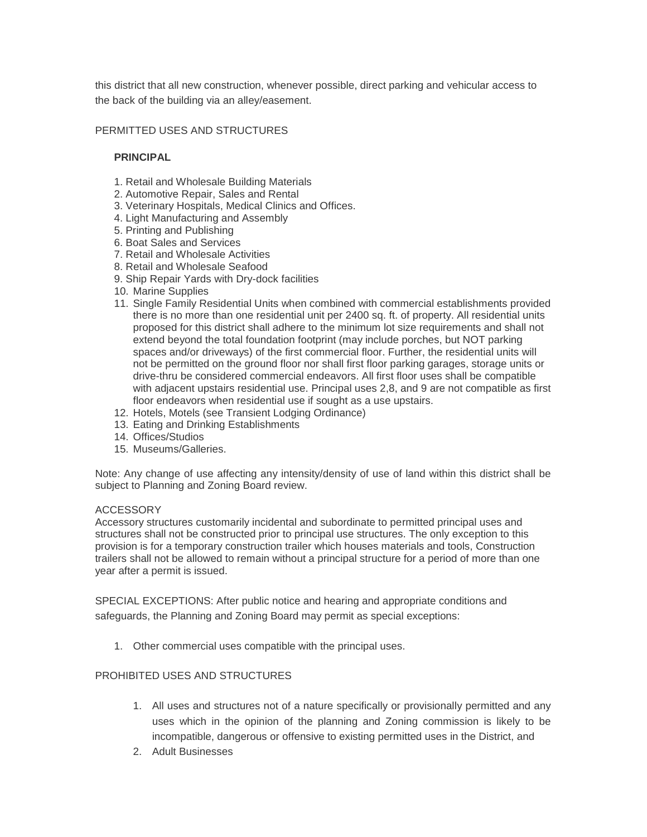this district that all new construction, whenever possible, direct parking and vehicular access to the back of the building via an alley/easement.

## PERMITTED USES AND STRUCTURES

## **PRINCIPAL**

- 1. Retail and Wholesale Building Materials
- 2. Automotive Repair, Sales and Rental
- 3. Veterinary Hospitals, Medical Clinics and Offices.
- 4. Light Manufacturing and Assembly
- 5. Printing and Publishing
- 6. Boat Sales and Services
- 7. Retail and Wholesale Activities
- 8. Retail and Wholesale Seafood
- 9. Ship Repair Yards with Dry-dock facilities
- 10. Marine Supplies
- 11. Single Family Residential Units when combined with commercial establishments provided there is no more than one residential unit per 2400 sq. ft. of property. All residential units proposed for this district shall adhere to the minimum lot size requirements and shall not extend beyond the total foundation footprint (may include porches, but NOT parking spaces and/or driveways) of the first commercial floor. Further, the residential units will not be permitted on the ground floor nor shall first floor parking garages, storage units or drive-thru be considered commercial endeavors. All first floor uses shall be compatible with adjacent upstairs residential use. Principal uses 2,8, and 9 are not compatible as first floor endeavors when residential use if sought as a use upstairs.
- 12. Hotels, Motels (see Transient Lodging Ordinance)
- 13. Eating and Drinking Establishments
- 14. Offices/Studios
- 15. Museums/Galleries.

Note: Any change of use affecting any intensity/density of use of land within this district shall be subject to Planning and Zoning Board review.

#### ACCESSORY

Accessory structures customarily incidental and subordinate to permitted principal uses and structures shall not be constructed prior to principal use structures. The only exception to this provision is for a temporary construction trailer which houses materials and tools, Construction trailers shall not be allowed to remain without a principal structure for a period of more than one year after a permit is issued.

SPECIAL EXCEPTIONS: After public notice and hearing and appropriate conditions and safeguards, the Planning and Zoning Board may permit as special exceptions:

1. Other commercial uses compatible with the principal uses.

#### PROHIBITED USES AND STRUCTURES

- 1. All uses and structures not of a nature specifically or provisionally permitted and any uses which in the opinion of the planning and Zoning commission is likely to be incompatible, dangerous or offensive to existing permitted uses in the District, and
- 2. Adult Businesses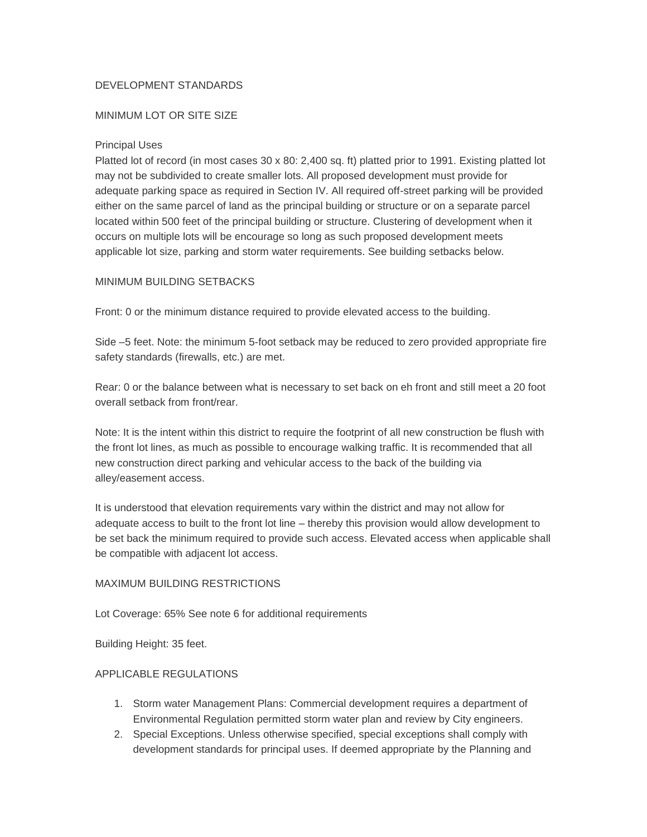# DEVELOPMENT STANDARDS

# MINIMUM LOT OR SITE SIZE

## Principal Uses

Platted lot of record (in most cases 30 x 80: 2,400 sq. ft) platted prior to 1991. Existing platted lot may not be subdivided to create smaller lots. All proposed development must provide for adequate parking space as required in Section IV. All required off-street parking will be provided either on the same parcel of land as the principal building or structure or on a separate parcel located within 500 feet of the principal building or structure. Clustering of development when it occurs on multiple lots will be encourage so long as such proposed development meets applicable lot size, parking and storm water requirements. See building setbacks below.

## MINIMUM BUILDING SETBACKS

Front: 0 or the minimum distance required to provide elevated access to the building.

Side –5 feet. Note: the minimum 5-foot setback may be reduced to zero provided appropriate fire safety standards (firewalls, etc.) are met.

Rear: 0 or the balance between what is necessary to set back on eh front and still meet a 20 foot overall setback from front/rear.

Note: It is the intent within this district to require the footprint of all new construction be flush with the front lot lines, as much as possible to encourage walking traffic. It is recommended that all new construction direct parking and vehicular access to the back of the building via alley/easement access.

It is understood that elevation requirements vary within the district and may not allow for adequate access to built to the front lot line – thereby this provision would allow development to be set back the minimum required to provide such access. Elevated access when applicable shall be compatible with adjacent lot access.

# MAXIMUM BUILDING RESTRICTIONS

Lot Coverage: 65% See note 6 for additional requirements

Building Height: 35 feet.

# APPLICABLE REGULATIONS

- 1. Storm water Management Plans: Commercial development requires a department of Environmental Regulation permitted storm water plan and review by City engineers.
- 2. Special Exceptions. Unless otherwise specified, special exceptions shall comply with development standards for principal uses. If deemed appropriate by the Planning and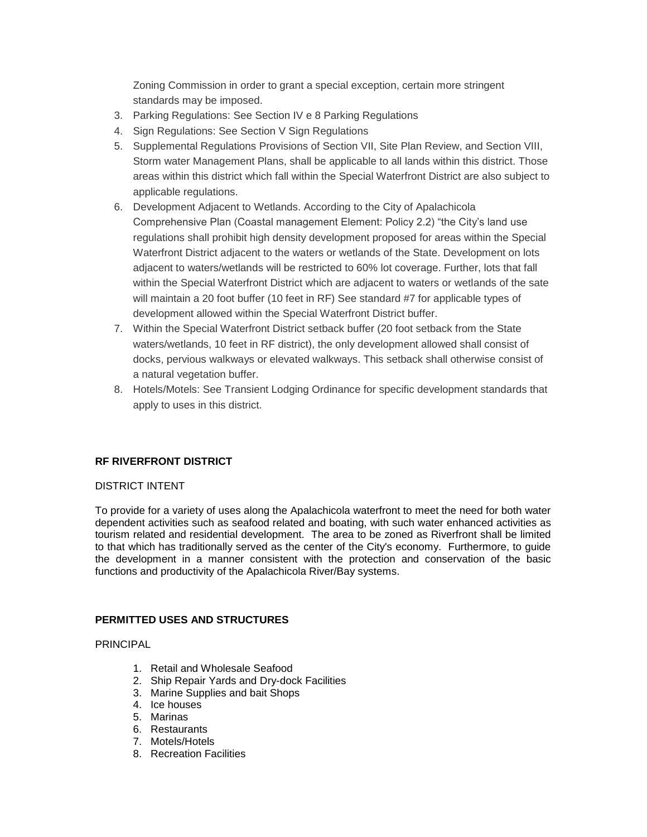Zoning Commission in order to grant a special exception, certain more stringent standards may be imposed.

- 3. Parking Regulations: See Section IV e 8 Parking Regulations
- 4. Sign Regulations: See Section V Sign Regulations
- 5. Supplemental Regulations Provisions of Section VII, Site Plan Review, and Section VIII, Storm water Management Plans, shall be applicable to all lands within this district. Those areas within this district which fall within the Special Waterfront District are also subject to applicable regulations.
- 6. Development Adjacent to Wetlands. According to the City of Apalachicola Comprehensive Plan (Coastal management Element: Policy 2.2) "the City's land use regulations shall prohibit high density development proposed for areas within the Special Waterfront District adjacent to the waters or wetlands of the State. Development on lots adjacent to waters/wetlands will be restricted to 60% lot coverage. Further, lots that fall within the Special Waterfront District which are adjacent to waters or wetlands of the sate will maintain a 20 foot buffer (10 feet in RF) See standard #7 for applicable types of development allowed within the Special Waterfront District buffer.
- 7. Within the Special Waterfront District setback buffer (20 foot setback from the State waters/wetlands, 10 feet in RF district), the only development allowed shall consist of docks, pervious walkways or elevated walkways. This setback shall otherwise consist of a natural vegetation buffer.
- 8. Hotels/Motels: See Transient Lodging Ordinance for specific development standards that apply to uses in this district.

#### **RF RIVERFRONT DISTRICT**

#### DISTRICT INTENT

To provide for a variety of uses along the Apalachicola waterfront to meet the need for both water dependent activities such as seafood related and boating, with such water enhanced activities as tourism related and residential development. The area to be zoned as Riverfront shall be limited to that which has traditionally served as the center of the City's economy. Furthermore, to guide the development in a manner consistent with the protection and conservation of the basic functions and productivity of the Apalachicola River/Bay systems.

#### **PERMITTED USES AND STRUCTURES**

PRINCIPAL

- 1. Retail and Wholesale Seafood
- 2. Ship Repair Yards and Dry-dock Facilities
- 3. Marine Supplies and bait Shops
- 4. Ice houses
- 5. Marinas
- 6. Restaurants
- 7. Motels/Hotels
- 8. Recreation Facilities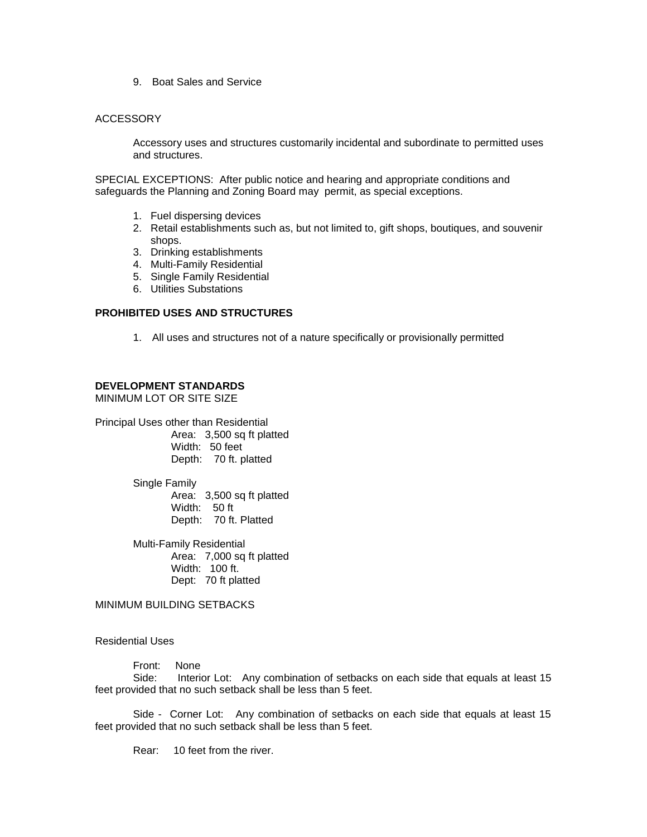9. Boat Sales and Service

#### **ACCESSORY**

Accessory uses and structures customarily incidental and subordinate to permitted uses and structures.

SPECIAL EXCEPTIONS: After public notice and hearing and appropriate conditions and safeguards the Planning and Zoning Board may permit, as special exceptions.

- 1. Fuel dispersing devices
- 2. Retail establishments such as, but not limited to, gift shops, boutiques, and souvenir shops.
- 3. Drinking establishments
- 4. Multi-Family Residential
- 5. Single Family Residential
- 6. Utilities Substations

## **PROHIBITED USES AND STRUCTURES**

1. All uses and structures not of a nature specifically or provisionally permitted

# **DEVELOPMENT STANDARDS**

MINIMUM LOT OR SITE SIZE

Principal Uses other than Residential Area: 3,500 sq ft platted Width: 50 feet Depth: 70 ft. platted

> Single Family Area: 3,500 sq ft platted Width: 50 ft Depth: 70 ft. Platted

> Multi-Family Residential Area: 7,000 sq ft platted Width: 100 ft. Dept: 70 ft platted

MINIMUM BUILDING SETBACKS

Residential Uses

Front: None

Side: Interior Lot: Any combination of setbacks on each side that equals at least 15 feet provided that no such setback shall be less than 5 feet.

Side - Corner Lot: Any combination of setbacks on each side that equals at least 15 feet provided that no such setback shall be less than 5 feet.

Rear: 10 feet from the river.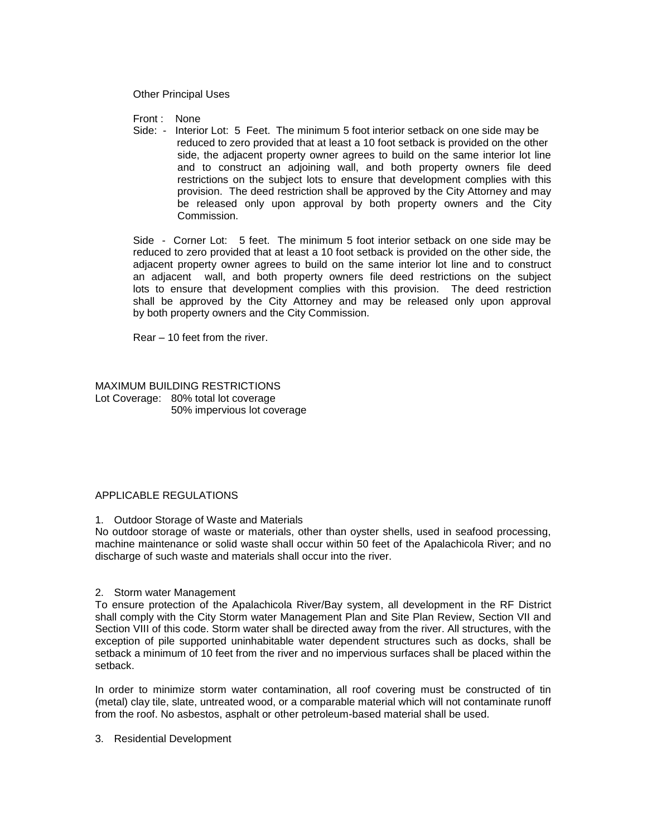Other Principal Uses

Front : None

Side: - Interior Lot: 5 Feet. The minimum 5 foot interior setback on one side may be reduced to zero provided that at least a 10 foot setback is provided on the other side, the adjacent property owner agrees to build on the same interior lot line and to construct an adjoining wall, and both property owners file deed restrictions on the subject lots to ensure that development complies with this provision. The deed restriction shall be approved by the City Attorney and may be released only upon approval by both property owners and the City Commission.

Side - Corner Lot: 5 feet. The minimum 5 foot interior setback on one side may be reduced to zero provided that at least a 10 foot setback is provided on the other side, the adjacent property owner agrees to build on the same interior lot line and to construct an adjacent wall, and both property owners file deed restrictions on the subject lots to ensure that development complies with this provision. The deed restriction shall be approved by the City Attorney and may be released only upon approval by both property owners and the City Commission.

Rear – 10 feet from the river.

MAXIMUM BUILDING RESTRICTIONS Lot Coverage: 80% total lot coverage 50% impervious lot coverage

#### APPLICABLE REGULATIONS

1. Outdoor Storage of Waste and Materials

No outdoor storage of waste or materials, other than oyster shells, used in seafood processing, machine maintenance or solid waste shall occur within 50 feet of the Apalachicola River; and no discharge of such waste and materials shall occur into the river.

2. Storm water Management

To ensure protection of the Apalachicola River/Bay system, all development in the RF District shall comply with the City Storm water Management Plan and Site Plan Review, Section VII and Section VIII of this code. Storm water shall be directed away from the river. All structures, with the exception of pile supported uninhabitable water dependent structures such as docks, shall be setback a minimum of 10 feet from the river and no impervious surfaces shall be placed within the setback.

In order to minimize storm water contamination, all roof covering must be constructed of tin (metal) clay tile, slate, untreated wood, or a comparable material which will not contaminate runoff from the roof. No asbestos, asphalt or other petroleum-based material shall be used.

3. Residential Development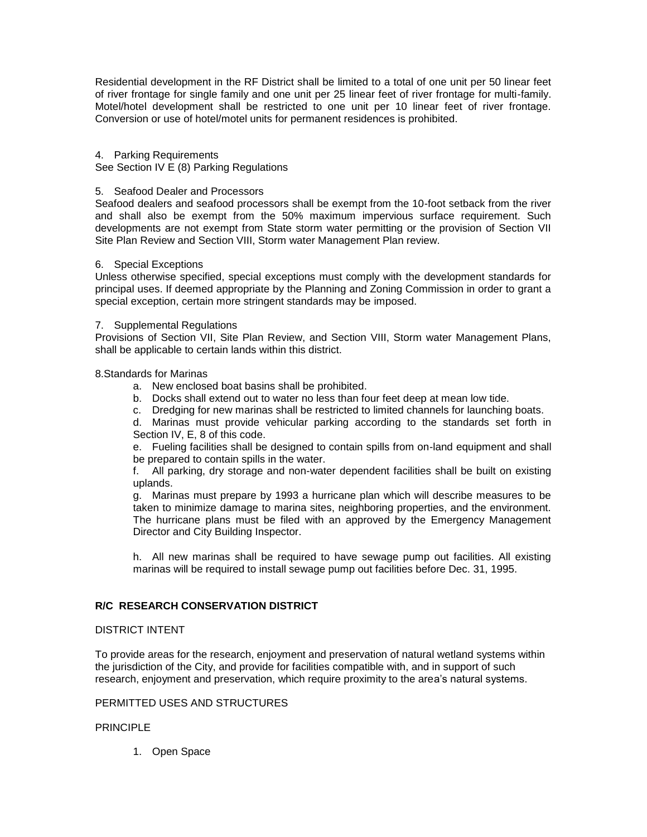Residential development in the RF District shall be limited to a total of one unit per 50 linear feet of river frontage for single family and one unit per 25 linear feet of river frontage for multi-family. Motel/hotel development shall be restricted to one unit per 10 linear feet of river frontage. Conversion or use of hotel/motel units for permanent residences is prohibited.

#### 4. Parking Requirements

See Section IV E (8) Parking Regulations

#### 5. Seafood Dealer and Processors

Seafood dealers and seafood processors shall be exempt from the 10-foot setback from the river and shall also be exempt from the 50% maximum impervious surface requirement. Such developments are not exempt from State storm water permitting or the provision of Section VII Site Plan Review and Section VIII, Storm water Management Plan review.

#### 6. Special Exceptions

Unless otherwise specified, special exceptions must comply with the development standards for principal uses. If deemed appropriate by the Planning and Zoning Commission in order to grant a special exception, certain more stringent standards may be imposed.

#### 7. Supplemental Regulations

Provisions of Section VII, Site Plan Review, and Section VIII, Storm water Management Plans, shall be applicable to certain lands within this district.

#### 8.Standards for Marinas

- a. New enclosed boat basins shall be prohibited.
- b. Docks shall extend out to water no less than four feet deep at mean low tide.
- c. Dredging for new marinas shall be restricted to limited channels for launching boats.

d. Marinas must provide vehicular parking according to the standards set forth in Section IV, E, 8 of this code.

e. Fueling facilities shall be designed to contain spills from on-land equipment and shall be prepared to contain spills in the water.

f. All parking, dry storage and non-water dependent facilities shall be built on existing uplands.

g. Marinas must prepare by 1993 a hurricane plan which will describe measures to be taken to minimize damage to marina sites, neighboring properties, and the environment. The hurricane plans must be filed with an approved by the Emergency Management Director and City Building Inspector.

h. All new marinas shall be required to have sewage pump out facilities. All existing marinas will be required to install sewage pump out facilities before Dec. 31, 1995.

#### **R/C RESEARCH CONSERVATION DISTRICT**

#### DISTRICT INTENT

To provide areas for the research, enjoyment and preservation of natural wetland systems within the jurisdiction of the City, and provide for facilities compatible with, and in support of such research, enjoyment and preservation, which require proximity to the area's natural systems.

## PERMITTED USES AND STRUCTURES

#### PRINCIPI F

1. Open Space